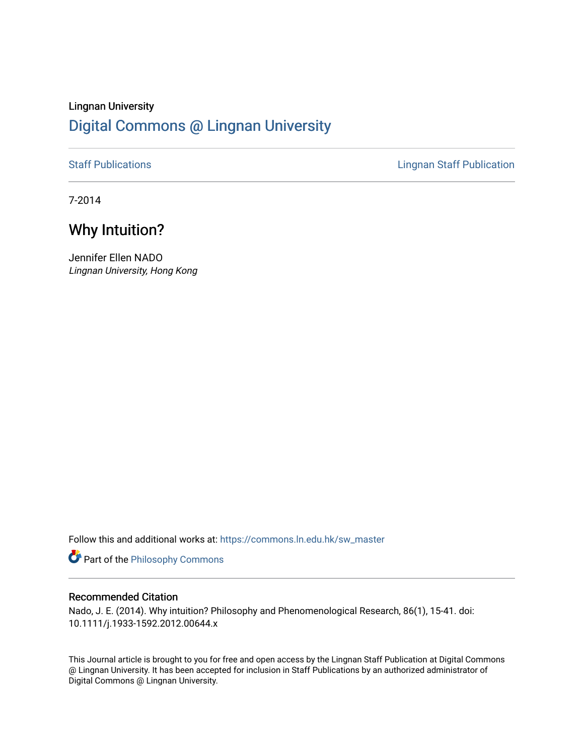## Lingnan University [Digital Commons @ Lingnan University](https://commons.ln.edu.hk/)

[Staff Publications](https://commons.ln.edu.hk/sw_master) **Staff Publications Lingnan Staff Publication** 

7-2014

# Why Intuition?

Jennifer Ellen NADO Lingnan University, Hong Kong

Follow this and additional works at: [https://commons.ln.edu.hk/sw\\_master](https://commons.ln.edu.hk/sw_master?utm_source=commons.ln.edu.hk%2Fsw_master%2F742&utm_medium=PDF&utm_campaign=PDFCoverPages) 

Part of the [Philosophy Commons](http://network.bepress.com/hgg/discipline/525?utm_source=commons.ln.edu.hk%2Fsw_master%2F742&utm_medium=PDF&utm_campaign=PDFCoverPages) 

### Recommended Citation

Nado, J. E. (2014). Why intuition? Philosophy and Phenomenological Research, 86(1), 15-41. doi: 10.1111/j.1933-1592.2012.00644.x

This Journal article is brought to you for free and open access by the Lingnan Staff Publication at Digital Commons @ Lingnan University. It has been accepted for inclusion in Staff Publications by an authorized administrator of Digital Commons @ Lingnan University.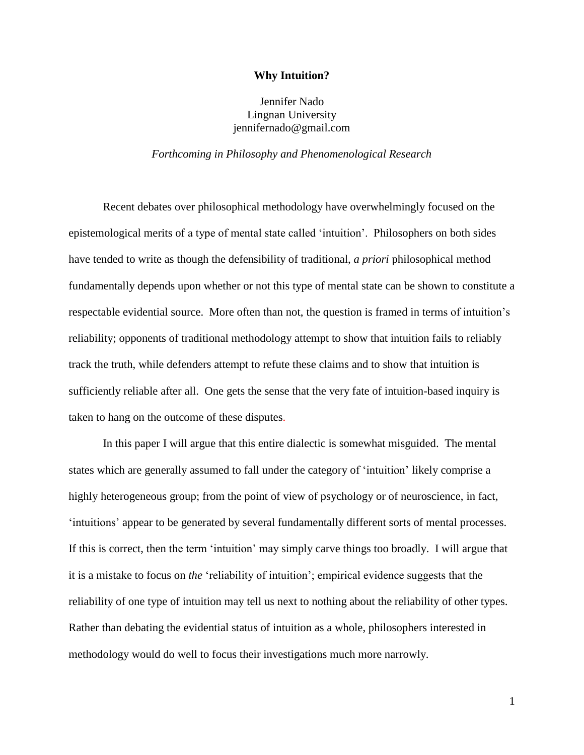#### **Why Intuition?**

## Jennifer Nado Lingnan University jennifernado@gmail.com

#### *Forthcoming in Philosophy and Phenomenological Research*

Recent debates over philosophical methodology have overwhelmingly focused on the epistemological merits of a type of mental state called 'intuition'. Philosophers on both sides have tended to write as though the defensibility of traditional, *a priori* philosophical method fundamentally depends upon whether or not this type of mental state can be shown to constitute a respectable evidential source. More often than not, the question is framed in terms of intuition's reliability; opponents of traditional methodology attempt to show that intuition fails to reliably track the truth, while defenders attempt to refute these claims and to show that intuition is sufficiently reliable after all. One gets the sense that the very fate of intuition-based inquiry is taken to hang on the outcome of these disputes.

In this paper I will argue that this entire dialectic is somewhat misguided. The mental states which are generally assumed to fall under the category of 'intuition' likely comprise a highly heterogeneous group; from the point of view of psychology or of neuroscience, in fact, 'intuitions' appear to be generated by several fundamentally different sorts of mental processes. If this is correct, then the term 'intuition' may simply carve things too broadly. I will argue that it is a mistake to focus on *the* 'reliability of intuition'; empirical evidence suggests that the reliability of one type of intuition may tell us next to nothing about the reliability of other types. Rather than debating the evidential status of intuition as a whole, philosophers interested in methodology would do well to focus their investigations much more narrowly.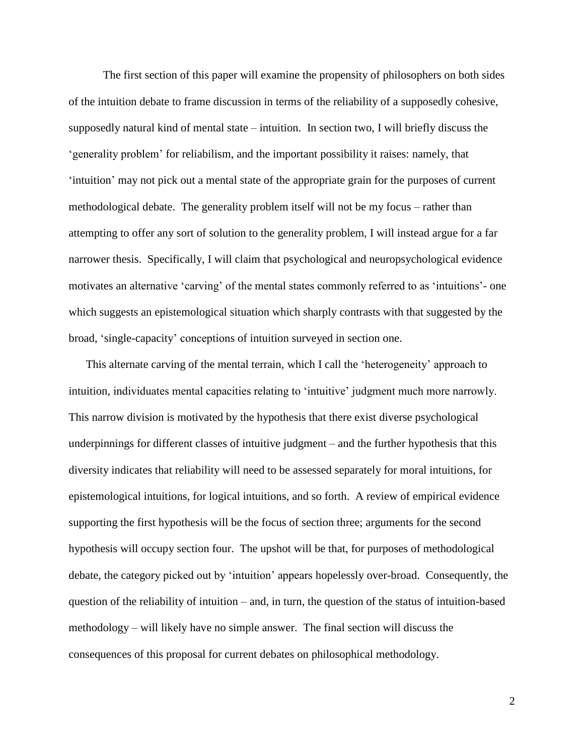The first section of this paper will examine the propensity of philosophers on both sides of the intuition debate to frame discussion in terms of the reliability of a supposedly cohesive, supposedly natural kind of mental state – intuition. In section two, I will briefly discuss the 'generality problem' for reliabilism, and the important possibility it raises: namely, that 'intuition' may not pick out a mental state of the appropriate grain for the purposes of current methodological debate. The generality problem itself will not be my focus – rather than attempting to offer any sort of solution to the generality problem, I will instead argue for a far narrower thesis. Specifically, I will claim that psychological and neuropsychological evidence motivates an alternative 'carving' of the mental states commonly referred to as 'intuitions'- one which suggests an epistemological situation which sharply contrasts with that suggested by the broad, 'single-capacity' conceptions of intuition surveyed in section one.

This alternate carving of the mental terrain, which I call the 'heterogeneity' approach to intuition, individuates mental capacities relating to 'intuitive' judgment much more narrowly. This narrow division is motivated by the hypothesis that there exist diverse psychological underpinnings for different classes of intuitive judgment – and the further hypothesis that this diversity indicates that reliability will need to be assessed separately for moral intuitions, for epistemological intuitions, for logical intuitions, and so forth. A review of empirical evidence supporting the first hypothesis will be the focus of section three; arguments for the second hypothesis will occupy section four. The upshot will be that, for purposes of methodological debate, the category picked out by 'intuition' appears hopelessly over-broad. Consequently, the question of the reliability of intuition – and, in turn, the question of the status of intuition-based methodology – will likely have no simple answer. The final section will discuss the consequences of this proposal for current debates on philosophical methodology.

2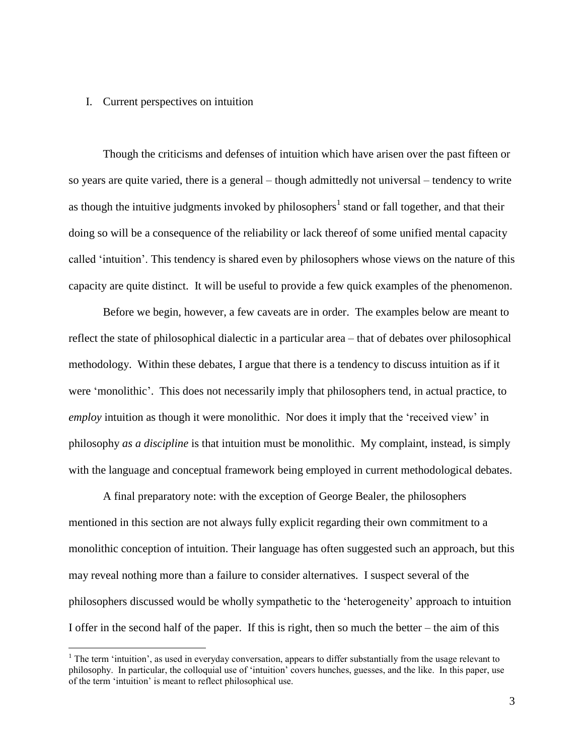#### I. Current perspectives on intuition

 $\overline{a}$ 

Though the criticisms and defenses of intuition which have arisen over the past fifteen or so years are quite varied, there is a general – though admittedly not universal – tendency to write as though the intuitive judgments invoked by philosophers<sup>1</sup> stand or fall together, and that their doing so will be a consequence of the reliability or lack thereof of some unified mental capacity called 'intuition'. This tendency is shared even by philosophers whose views on the nature of this capacity are quite distinct. It will be useful to provide a few quick examples of the phenomenon.

Before we begin, however, a few caveats are in order. The examples below are meant to reflect the state of philosophical dialectic in a particular area – that of debates over philosophical methodology. Within these debates, I argue that there is a tendency to discuss intuition as if it were 'monolithic'. This does not necessarily imply that philosophers tend, in actual practice, to *employ* intuition as though it were monolithic. Nor does it imply that the 'received view' in philosophy *as a discipline* is that intuition must be monolithic. My complaint, instead, is simply with the language and conceptual framework being employed in current methodological debates.

A final preparatory note: with the exception of George Bealer, the philosophers mentioned in this section are not always fully explicit regarding their own commitment to a monolithic conception of intuition. Their language has often suggested such an approach, but this may reveal nothing more than a failure to consider alternatives. I suspect several of the philosophers discussed would be wholly sympathetic to the 'heterogeneity' approach to intuition I offer in the second half of the paper. If this is right, then so much the better – the aim of this

<sup>&</sup>lt;sup>1</sup> The term 'intuition', as used in everyday conversation, appears to differ substantially from the usage relevant to philosophy. In particular, the colloquial use of 'intuition' covers hunches, guesses, and the like. In this paper, use of the term 'intuition' is meant to reflect philosophical use.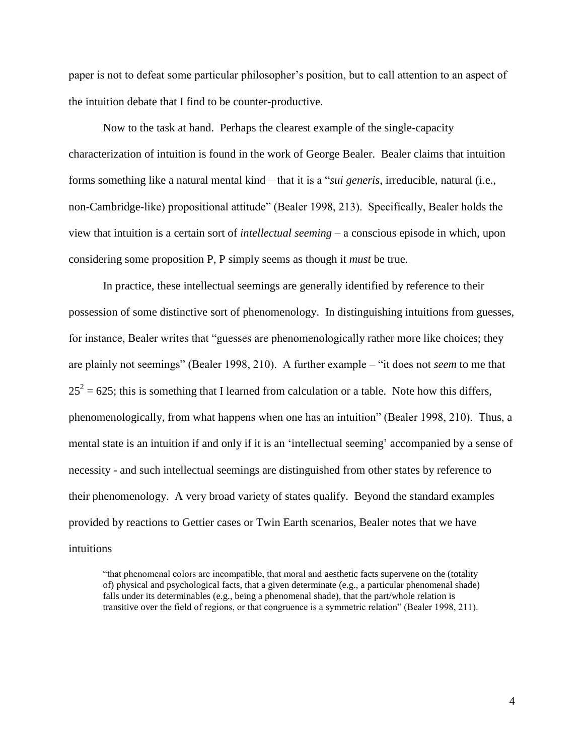paper is not to defeat some particular philosopher's position, but to call attention to an aspect of the intuition debate that I find to be counter-productive.

Now to the task at hand. Perhaps the clearest example of the single-capacity characterization of intuition is found in the work of George Bealer. Bealer claims that intuition forms something like a natural mental kind – that it is a "*sui generis*, irreducible, natural (i.e., non-Cambridge-like) propositional attitude" (Bealer 1998, 213). Specifically, Bealer holds the view that intuition is a certain sort of *intellectual seeming* – a conscious episode in which, upon considering some proposition P, P simply seems as though it *must* be true.

In practice, these intellectual seemings are generally identified by reference to their possession of some distinctive sort of phenomenology. In distinguishing intuitions from guesses, for instance, Bealer writes that "guesses are phenomenologically rather more like choices; they are plainly not seemings" (Bealer 1998, 210). A further example – "it does not *seem* to me that  $25^2$  = 625; this is something that I learned from calculation or a table. Note how this differs, phenomenologically, from what happens when one has an intuition" (Bealer 1998, 210). Thus, a mental state is an intuition if and only if it is an 'intellectual seeming' accompanied by a sense of necessity - and such intellectual seemings are distinguished from other states by reference to their phenomenology. A very broad variety of states qualify. Beyond the standard examples provided by reactions to Gettier cases or Twin Earth scenarios, Bealer notes that we have intuitions

"that phenomenal colors are incompatible, that moral and aesthetic facts supervene on the (totality of) physical and psychological facts, that a given determinate (e.g., a particular phenomenal shade) falls under its determinables (e.g., being a phenomenal shade), that the part/whole relation is transitive over the field of regions, or that congruence is a symmetric relation" (Bealer 1998, 211).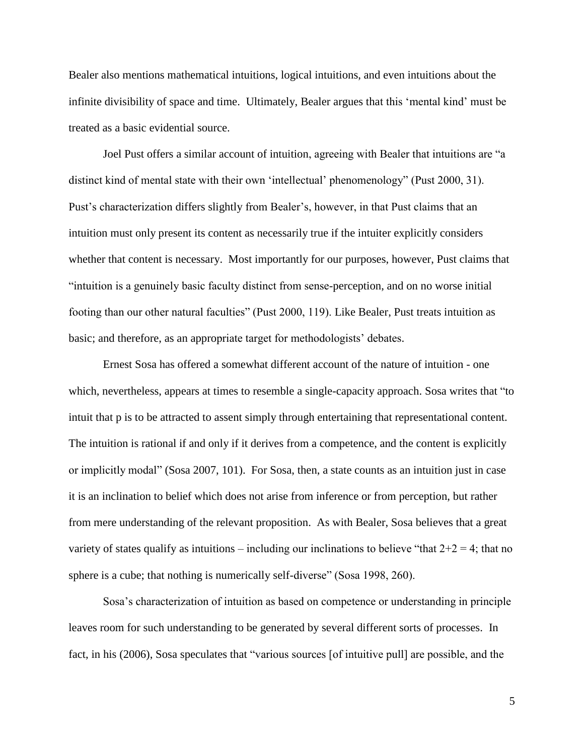Bealer also mentions mathematical intuitions, logical intuitions, and even intuitions about the infinite divisibility of space and time. Ultimately, Bealer argues that this 'mental kind' must be treated as a basic evidential source.

Joel Pust offers a similar account of intuition, agreeing with Bealer that intuitions are "a distinct kind of mental state with their own 'intellectual' phenomenology" (Pust 2000, 31). Pust's characterization differs slightly from Bealer's, however, in that Pust claims that an intuition must only present its content as necessarily true if the intuiter explicitly considers whether that content is necessary. Most importantly for our purposes, however, Pust claims that "intuition is a genuinely basic faculty distinct from sense-perception, and on no worse initial footing than our other natural faculties" (Pust 2000, 119). Like Bealer, Pust treats intuition as basic; and therefore, as an appropriate target for methodologists' debates.

Ernest Sosa has offered a somewhat different account of the nature of intuition - one which, nevertheless, appears at times to resemble a single-capacity approach. Sosa writes that "to intuit that p is to be attracted to assent simply through entertaining that representational content. The intuition is rational if and only if it derives from a competence, and the content is explicitly or implicitly modal" (Sosa 2007, 101). For Sosa, then, a state counts as an intuition just in case it is an inclination to belief which does not arise from inference or from perception, but rather from mere understanding of the relevant proposition. As with Bealer, Sosa believes that a great variety of states qualify as intuitions – including our inclinations to believe "that  $2+2=4$ ; that no sphere is a cube; that nothing is numerically self-diverse" (Sosa 1998, 260).

Sosa's characterization of intuition as based on competence or understanding in principle leaves room for such understanding to be generated by several different sorts of processes. In fact, in his (2006), Sosa speculates that "various sources [of intuitive pull] are possible, and the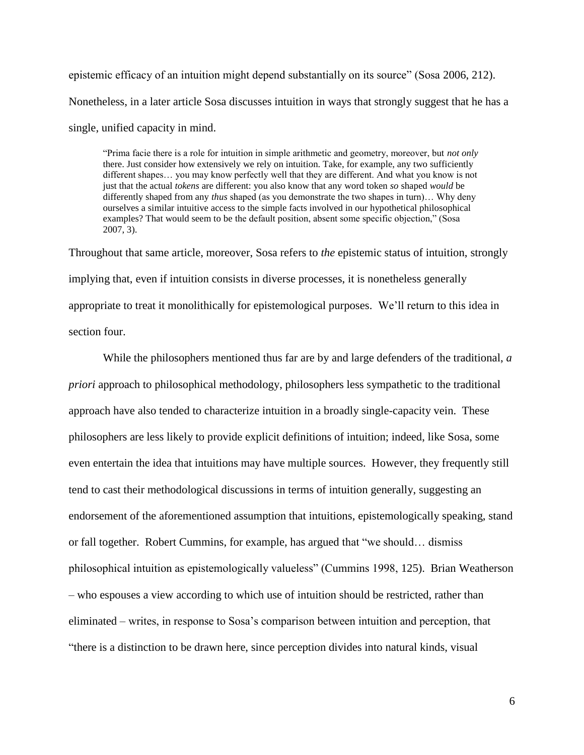epistemic efficacy of an intuition might depend substantially on its source" (Sosa 2006, 212). Nonetheless, in a later article Sosa discusses intuition in ways that strongly suggest that he has a single, unified capacity in mind.

"Prima facie there is a role for intuition in simple arithmetic and geometry, moreover, but *not only*  there. Just consider how extensively we rely on intuition. Take, for example, any two sufficiently different shapes… you may know perfectly well that they are different. And what you know is not just that the actual *tokens* are different: you also know that any word token *so* shaped *would* be differently shaped from any *thus* shaped (as you demonstrate the two shapes in turn)… Why deny ourselves a similar intuitive access to the simple facts involved in our hypothetical philosophical examples? That would seem to be the default position, absent some specific objection," (Sosa 2007, 3).

Throughout that same article, moreover, Sosa refers to *the* epistemic status of intuition, strongly implying that, even if intuition consists in diverse processes, it is nonetheless generally appropriate to treat it monolithically for epistemological purposes. We'll return to this idea in section four.

While the philosophers mentioned thus far are by and large defenders of the traditional, *a priori* approach to philosophical methodology, philosophers less sympathetic to the traditional approach have also tended to characterize intuition in a broadly single-capacity vein. These philosophers are less likely to provide explicit definitions of intuition; indeed, like Sosa, some even entertain the idea that intuitions may have multiple sources. However, they frequently still tend to cast their methodological discussions in terms of intuition generally, suggesting an endorsement of the aforementioned assumption that intuitions, epistemologically speaking, stand or fall together. Robert Cummins, for example, has argued that "we should… dismiss philosophical intuition as epistemologically valueless" (Cummins 1998, 125). Brian Weatherson – who espouses a view according to which use of intuition should be restricted, rather than eliminated – writes, in response to Sosa's comparison between intuition and perception, that "there is a distinction to be drawn here, since perception divides into natural kinds, visual

6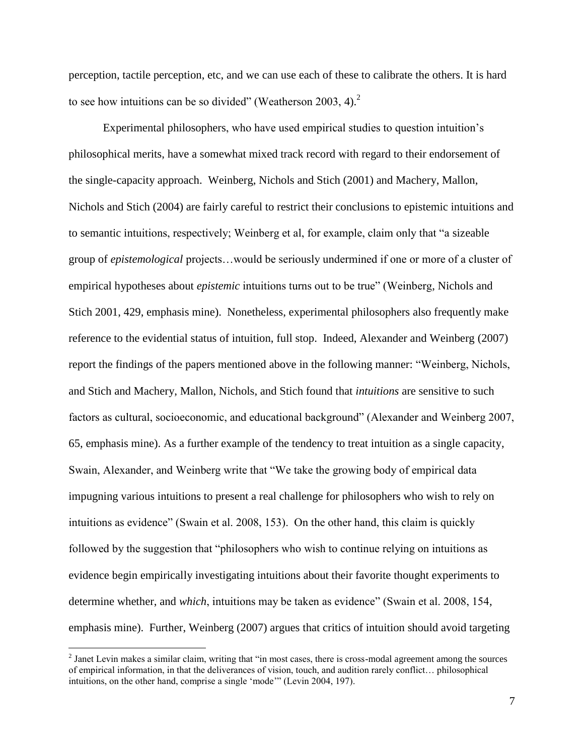perception, tactile perception, etc, and we can use each of these to calibrate the others. It is hard to see how intuitions can be so divided" (Weatherson 2003, 4). $2$ 

Experimental philosophers, who have used empirical studies to question intuition's philosophical merits, have a somewhat mixed track record with regard to their endorsement of the single-capacity approach. Weinberg, Nichols and Stich (2001) and Machery, Mallon, Nichols and Stich (2004) are fairly careful to restrict their conclusions to epistemic intuitions and to semantic intuitions, respectively; Weinberg et al, for example, claim only that "a sizeable group of *epistemological* projects…would be seriously undermined if one or more of a cluster of empirical hypotheses about *epistemic* intuitions turns out to be true" (Weinberg, Nichols and Stich 2001, 429, emphasis mine). Nonetheless, experimental philosophers also frequently make reference to the evidential status of intuition, full stop. Indeed, Alexander and Weinberg (2007) report the findings of the papers mentioned above in the following manner: "Weinberg, Nichols, and Stich and Machery, Mallon, Nichols, and Stich found that *intuitions* are sensitive to such factors as cultural, socioeconomic, and educational background" (Alexander and Weinberg 2007, 65, emphasis mine). As a further example of the tendency to treat intuition as a single capacity, Swain, Alexander, and Weinberg write that "We take the growing body of empirical data impugning various intuitions to present a real challenge for philosophers who wish to rely on intuitions as evidence" (Swain et al. 2008, 153). On the other hand, this claim is quickly followed by the suggestion that "philosophers who wish to continue relying on intuitions as evidence begin empirically investigating intuitions about their favorite thought experiments to determine whether, and *which*, intuitions may be taken as evidence" (Swain et al. 2008, 154, emphasis mine). Further, Weinberg (2007) argues that critics of intuition should avoid targeting

 $2$  Janet Levin makes a similar claim, writing that "in most cases, there is cross-modal agreement among the sources of empirical information, in that the deliverances of vision, touch, and audition rarely conflict… philosophical intuitions, on the other hand, comprise a single 'mode'" (Levin 2004, 197).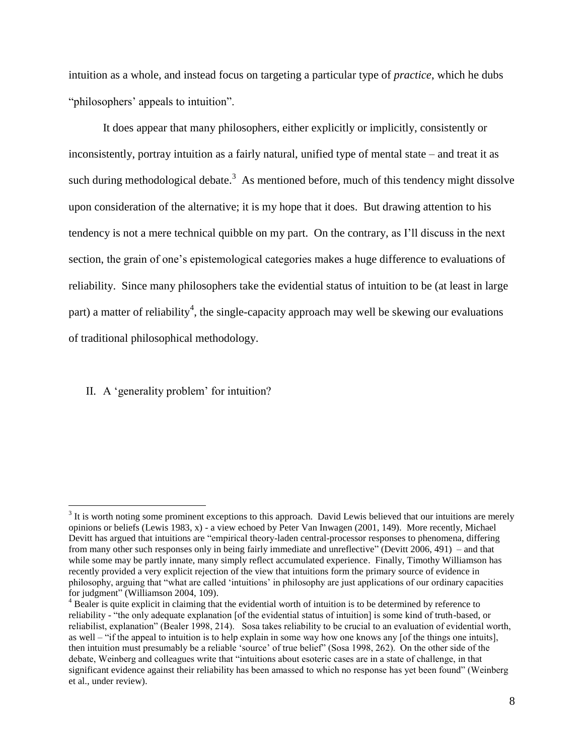intuition as a whole, and instead focus on targeting a particular type of *practice*, which he dubs "philosophers' appeals to intuition".

It does appear that many philosophers, either explicitly or implicitly, consistently or inconsistently, portray intuition as a fairly natural, unified type of mental state – and treat it as such during methodological debate.<sup>3</sup> As mentioned before, much of this tendency might dissolve upon consideration of the alternative; it is my hope that it does. But drawing attention to his tendency is not a mere technical quibble on my part. On the contrary, as I'll discuss in the next section, the grain of one's epistemological categories makes a huge difference to evaluations of reliability. Since many philosophers take the evidential status of intuition to be (at least in large part) a matter of reliability<sup>4</sup>, the single-capacity approach may well be skewing our evaluations of traditional philosophical methodology.

#### II. A 'generality problem' for intuition?

 $3$  It is worth noting some prominent exceptions to this approach. David Lewis believed that our intuitions are merely opinions or beliefs (Lewis 1983, x) - a view echoed by Peter Van Inwagen (2001, 149). More recently, Michael Devitt has argued that intuitions are "empirical theory-laden central-processor responses to phenomena, differing from many other such responses only in being fairly immediate and unreflective" (Devitt 2006, 491) – and that while some may be partly innate, many simply reflect accumulated experience. Finally, Timothy Williamson has recently provided a very explicit rejection of the view that intuitions form the primary source of evidence in philosophy, arguing that "what are called 'intuitions' in philosophy are just applications of our ordinary capacities for judgment" (Williamson 2004, 109).

<sup>&</sup>lt;sup>4</sup> Bealer is quite explicit in claiming that the evidential worth of intuition is to be determined by reference to reliability - "the only adequate explanation [of the evidential status of intuition] is some kind of truth-based, or reliabilist, explanation" (Bealer 1998, 214). Sosa takes reliability to be crucial to an evaluation of evidential worth, as well – "if the appeal to intuition is to help explain in some way how one knows any [of the things one intuits], then intuition must presumably be a reliable 'source' of true belief" (Sosa 1998, 262). On the other side of the debate, Weinberg and colleagues write that "intuitions about esoteric cases are in a state of challenge, in that significant evidence against their reliability has been amassed to which no response has yet been found" (Weinberg et al., under review).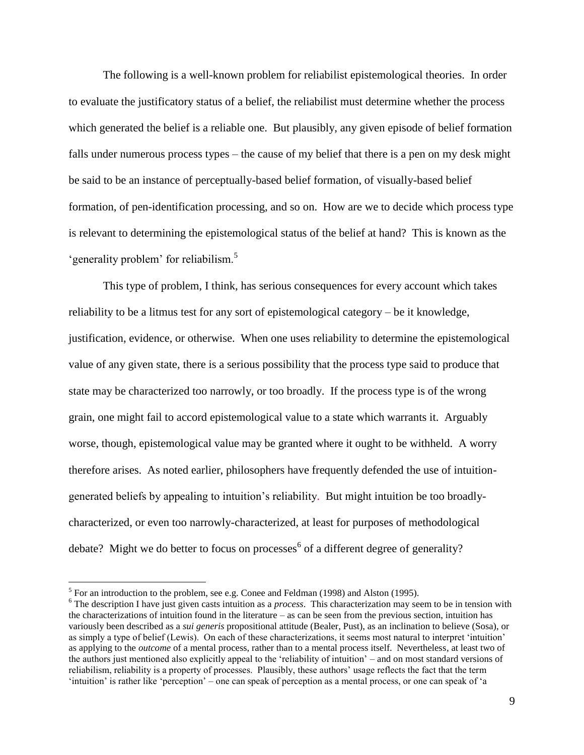The following is a well-known problem for reliabilist epistemological theories. In order to evaluate the justificatory status of a belief, the reliabilist must determine whether the process which generated the belief is a reliable one. But plausibly, any given episode of belief formation falls under numerous process types – the cause of my belief that there is a pen on my desk might be said to be an instance of perceptually-based belief formation, of visually-based belief formation, of pen-identification processing, and so on. How are we to decide which process type is relevant to determining the epistemological status of the belief at hand? This is known as the 'generality problem' for reliabilism.<sup>5</sup>

This type of problem, I think, has serious consequences for every account which takes reliability to be a litmus test for any sort of epistemological category – be it knowledge, justification, evidence, or otherwise. When one uses reliability to determine the epistemological value of any given state, there is a serious possibility that the process type said to produce that state may be characterized too narrowly, or too broadly. If the process type is of the wrong grain, one might fail to accord epistemological value to a state which warrants it. Arguably worse, though, epistemological value may be granted where it ought to be withheld. A worry therefore arises. As noted earlier, philosophers have frequently defended the use of intuitiongenerated beliefs by appealing to intuition's reliability. But might intuition be too broadlycharacterized, or even too narrowly-characterized, at least for purposes of methodological debate? Might we do better to focus on processes $^6$  of a different degree of generality?

<sup>&</sup>lt;sup>5</sup> For an introduction to the problem, see e.g. Conee and Feldman (1998) and Alston (1995).

<sup>&</sup>lt;sup>6</sup> The description I have just given casts intuition as a *process*. This characterization may seem to be in tension with the characterizations of intuition found in the literature – as can be seen from the previous section, intuition has variously been described as a *sui generis* propositional attitude (Bealer, Pust), as an inclination to believe (Sosa), or as simply a type of belief (Lewis). On each of these characterizations, it seems most natural to interpret 'intuition' as applying to the *outcome* of a mental process, rather than to a mental process itself. Nevertheless, at least two of the authors just mentioned also explicitly appeal to the 'reliability of intuition' – and on most standard versions of reliabilism, reliability is a property of processes. Plausibly, these authors' usage reflects the fact that the term 'intuition' is rather like 'perception' – one can speak of perception as a mental process, or one can speak of 'a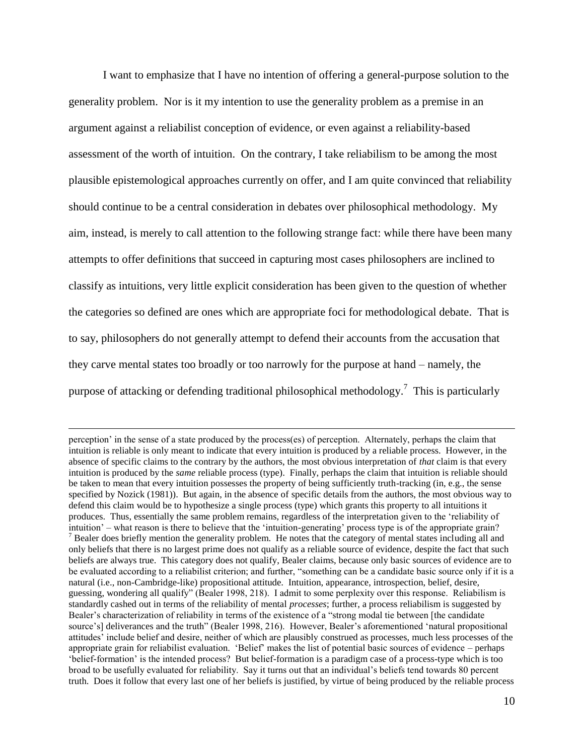I want to emphasize that I have no intention of offering a general-purpose solution to the generality problem. Nor is it my intention to use the generality problem as a premise in an argument against a reliabilist conception of evidence, or even against a reliability-based assessment of the worth of intuition. On the contrary, I take reliabilism to be among the most plausible epistemological approaches currently on offer, and I am quite convinced that reliability should continue to be a central consideration in debates over philosophical methodology. My aim, instead, is merely to call attention to the following strange fact: while there have been many attempts to offer definitions that succeed in capturing most cases philosophers are inclined to classify as intuitions, very little explicit consideration has been given to the question of whether the categories so defined are ones which are appropriate foci for methodological debate. That is to say, philosophers do not generally attempt to defend their accounts from the accusation that they carve mental states too broadly or too narrowly for the purpose at hand – namely, the purpose of attacking or defending traditional philosophical methodology.<sup>7</sup> This is particularly

perception' in the sense of a state produced by the process(es) of perception. Alternately, perhaps the claim that intuition is reliable is only meant to indicate that every intuition is produced by a reliable process. However, in the absence of specific claims to the contrary by the authors, the most obvious interpretation of *that* claim is that every intuition is produced by the *same* reliable process (type). Finally, perhaps the claim that intuition is reliable should be taken to mean that every intuition possesses the property of being sufficiently truth-tracking (in, e.g., the sense specified by Nozick (1981)). But again, in the absence of specific details from the authors, the most obvious way to defend this claim would be to hypothesize a single process (type) which grants this property to all intuitions it produces. Thus, essentially the same problem remains, regardless of the interpretation given to the 'reliability of intuition' – what reason is there to believe that the 'intuition-generating' process type is of the appropriate grain?  $<sup>7</sup>$  Bealer does briefly mention the generality problem. He notes that the category of mental states including all and</sup> only beliefs that there is no largest prime does not qualify as a reliable source of evidence, despite the fact that such beliefs are always true. This category does not qualify, Bealer claims, because only basic sources of evidence are to be evaluated according to a reliabilist criterion; and further, "something can be a candidate basic source only if it is a natural (i.e., non-Cambridge-like) propositional attitude. Intuition, appearance, introspection, belief, desire, guessing, wondering all qualify" (Bealer 1998, 218). I admit to some perplexity over this response. Reliabilism is standardly cashed out in terms of the reliability of mental *processes*; further, a process reliabilism is suggested by Bealer's characterization of reliability in terms of the existence of a "strong modal tie between [the candidate source's] deliverances and the truth" (Bealer 1998, 216). However, Bealer's aforementioned 'natural propositional attitudes' include belief and desire, neither of which are plausibly construed as processes, much less processes of the appropriate grain for reliabilist evaluation. 'Belief' makes the list of potential basic sources of evidence – perhaps 'belief-formation' is the intended process? But belief-formation is a paradigm case of a process-type which is too broad to be usefully evaluated for reliability. Say it turns out that an individual's beliefs tend towards 80 percent truth. Does it follow that every last one of her beliefs is justified, by virtue of being produced by the reliable process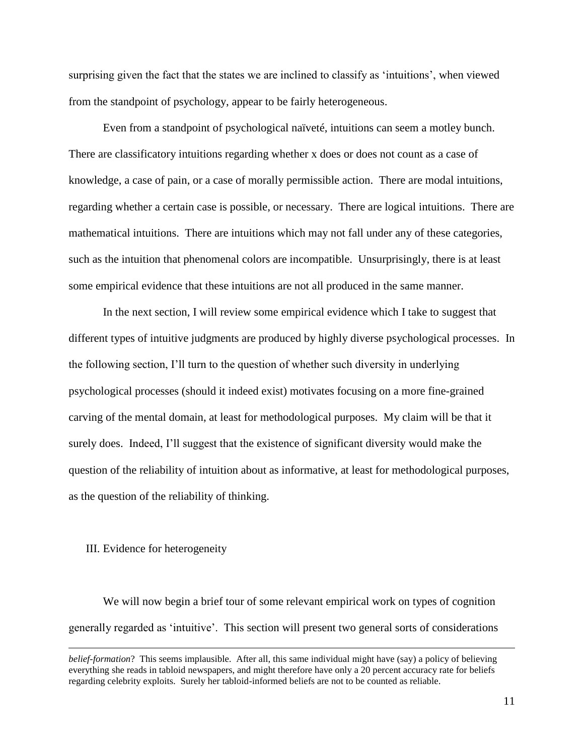surprising given the fact that the states we are inclined to classify as 'intuitions', when viewed from the standpoint of psychology, appear to be fairly heterogeneous.

Even from a standpoint of psychological naïveté, intuitions can seem a motley bunch. There are classificatory intuitions regarding whether x does or does not count as a case of knowledge, a case of pain, or a case of morally permissible action. There are modal intuitions, regarding whether a certain case is possible, or necessary. There are logical intuitions. There are mathematical intuitions. There are intuitions which may not fall under any of these categories, such as the intuition that phenomenal colors are incompatible. Unsurprisingly, there is at least some empirical evidence that these intuitions are not all produced in the same manner.

In the next section, I will review some empirical evidence which I take to suggest that different types of intuitive judgments are produced by highly diverse psychological processes. In the following section, I'll turn to the question of whether such diversity in underlying psychological processes (should it indeed exist) motivates focusing on a more fine-grained carving of the mental domain, at least for methodological purposes. My claim will be that it surely does. Indeed, I'll suggest that the existence of significant diversity would make the question of the reliability of intuition about as informative, at least for methodological purposes, as the question of the reliability of thinking.

#### III. Evidence for heterogeneity

 $\overline{a}$ 

We will now begin a brief tour of some relevant empirical work on types of cognition generally regarded as 'intuitive'. This section will present two general sorts of considerations

*belief-formation*? This seems implausible. After all, this same individual might have (say) a policy of believing everything she reads in tabloid newspapers, and might therefore have only a 20 percent accuracy rate for beliefs regarding celebrity exploits. Surely her tabloid-informed beliefs are not to be counted as reliable.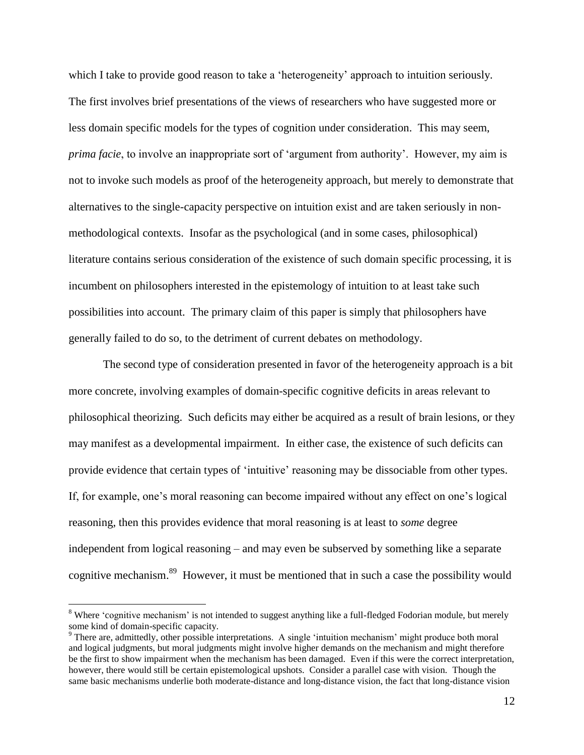which I take to provide good reason to take a 'heterogeneity' approach to intuition seriously. The first involves brief presentations of the views of researchers who have suggested more or less domain specific models for the types of cognition under consideration. This may seem, *prima facie*, to involve an inappropriate sort of 'argument from authority'. However, my aim is not to invoke such models as proof of the heterogeneity approach, but merely to demonstrate that alternatives to the single-capacity perspective on intuition exist and are taken seriously in nonmethodological contexts. Insofar as the psychological (and in some cases, philosophical) literature contains serious consideration of the existence of such domain specific processing, it is incumbent on philosophers interested in the epistemology of intuition to at least take such possibilities into account. The primary claim of this paper is simply that philosophers have generally failed to do so, to the detriment of current debates on methodology.

The second type of consideration presented in favor of the heterogeneity approach is a bit more concrete, involving examples of domain-specific cognitive deficits in areas relevant to philosophical theorizing. Such deficits may either be acquired as a result of brain lesions, or they may manifest as a developmental impairment. In either case, the existence of such deficits can provide evidence that certain types of 'intuitive' reasoning may be dissociable from other types. If, for example, one's moral reasoning can become impaired without any effect on one's logical reasoning, then this provides evidence that moral reasoning is at least to *some* degree independent from logical reasoning – and may even be subserved by something like a separate cognitive mechanism.<sup>89</sup> However, it must be mentioned that in such a case the possibility would

<sup>&</sup>lt;sup>8</sup> Where 'cognitive mechanism' is not intended to suggest anything like a full-fledged Fodorian module, but merely some kind of domain-specific capacity.

<sup>9</sup> There are, admittedly, other possible interpretations. A single 'intuition mechanism' might produce both moral and logical judgments, but moral judgments might involve higher demands on the mechanism and might therefore be the first to show impairment when the mechanism has been damaged. Even if this were the correct interpretation, however, there would still be certain epistemological upshots. Consider a parallel case with vision. Though the same basic mechanisms underlie both moderate-distance and long-distance vision, the fact that long-distance vision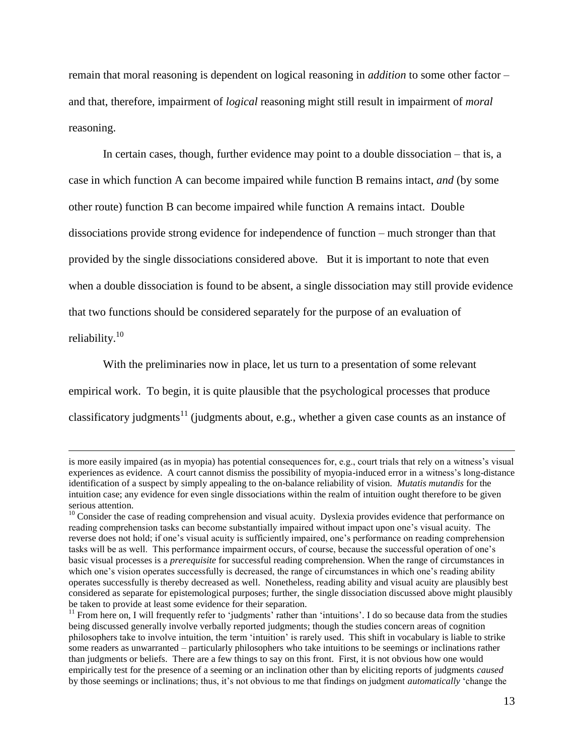remain that moral reasoning is dependent on logical reasoning in *addition* to some other factor – and that, therefore, impairment of *logical* reasoning might still result in impairment of *moral* reasoning.

In certain cases, though, further evidence may point to a double dissociation – that is, a case in which function A can become impaired while function B remains intact, *and* (by some other route) function B can become impaired while function A remains intact. Double dissociations provide strong evidence for independence of function – much stronger than that provided by the single dissociations considered above. But it is important to note that even when a double dissociation is found to be absent, a single dissociation may still provide evidence that two functions should be considered separately for the purpose of an evaluation of reliability.<sup>10</sup>

With the preliminaries now in place, let us turn to a presentation of some relevant empirical work. To begin, it is quite plausible that the psychological processes that produce classificatory judgments<sup>11</sup> (judgments about, e.g., whether a given case counts as an instance of

is more easily impaired (as in myopia) has potential consequences for, e.g., court trials that rely on a witness's visual experiences as evidence. A court cannot dismiss the possibility of myopia-induced error in a witness's long-distance identification of a suspect by simply appealing to the on-balance reliability of vision. *Mutatis mutandis* for the intuition case; any evidence for even single dissociations within the realm of intuition ought therefore to be given serious attention.

<sup>&</sup>lt;sup>10</sup> Consider the case of reading comprehension and visual acuity. Dyslexia provides evidence that performance on reading comprehension tasks can become substantially impaired without impact upon one's visual acuity. The reverse does not hold; if one's visual acuity is sufficiently impaired, one's performance on reading comprehension tasks will be as well. This performance impairment occurs, of course, because the successful operation of one's basic visual processes is a *prerequisite* for successful reading comprehension. When the range of circumstances in which one's vision operates successfully is decreased, the range of circumstances in which one's reading ability operates successfully is thereby decreased as well. Nonetheless, reading ability and visual acuity are plausibly best considered as separate for epistemological purposes; further, the single dissociation discussed above might plausibly be taken to provide at least some evidence for their separation.

 $<sup>11</sup>$  From here on, I will frequently refer to 'judgments' rather than 'intuitions'. I do so because data from the studies</sup> being discussed generally involve verbally reported judgments; though the studies concern areas of cognition philosophers take to involve intuition, the term 'intuition' is rarely used. This shift in vocabulary is liable to strike some readers as unwarranted – particularly philosophers who take intuitions to be seemings or inclinations rather than judgments or beliefs. There are a few things to say on this front. First, it is not obvious how one would empirically test for the presence of a seeming or an inclination other than by eliciting reports of judgments *caused*  by those seemings or inclinations; thus, it's not obvious to me that findings on judgment *automatically* 'change the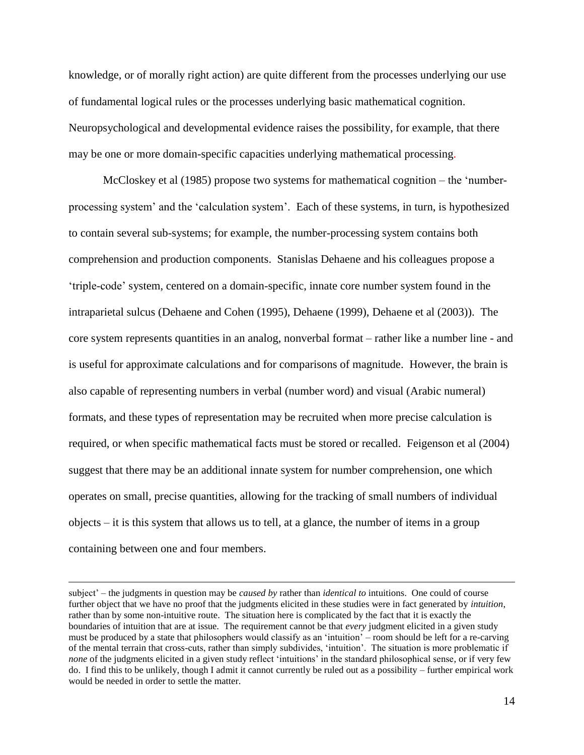knowledge, or of morally right action) are quite different from the processes underlying our use of fundamental logical rules or the processes underlying basic mathematical cognition. Neuropsychological and developmental evidence raises the possibility, for example, that there may be one or more domain-specific capacities underlying mathematical processing.

McCloskey et al (1985) propose two systems for mathematical cognition – the 'numberprocessing system' and the 'calculation system'. Each of these systems, in turn, is hypothesized to contain several sub-systems; for example, the number-processing system contains both comprehension and production components. Stanislas Dehaene and his colleagues propose a 'triple-code' system, centered on a domain-specific, innate core number system found in the intraparietal sulcus (Dehaene and Cohen (1995), Dehaene (1999), Dehaene et al (2003)). The core system represents quantities in an analog, nonverbal format – rather like a number line - and is useful for approximate calculations and for comparisons of magnitude. However, the brain is also capable of representing numbers in verbal (number word) and visual (Arabic numeral) formats, and these types of representation may be recruited when more precise calculation is required, or when specific mathematical facts must be stored or recalled. Feigenson et al (2004) suggest that there may be an additional innate system for number comprehension, one which operates on small, precise quantities, allowing for the tracking of small numbers of individual objects – it is this system that allows us to tell, at a glance, the number of items in a group containing between one and four members.

subject' – the judgments in question may be *caused by* rather than *identical to* intuitions. One could of course further object that we have no proof that the judgments elicited in these studies were in fact generated by *intuition*, rather than by some non-intuitive route. The situation here is complicated by the fact that it is exactly the boundaries of intuition that are at issue. The requirement cannot be that *every* judgment elicited in a given study must be produced by a state that philosophers would classify as an 'intuition' – room should be left for a re-carving of the mental terrain that cross-cuts, rather than simply subdivides, 'intuition'. The situation is more problematic if *none* of the judgments elicited in a given study reflect 'intuitions' in the standard philosophical sense, or if very few do. I find this to be unlikely, though I admit it cannot currently be ruled out as a possibility – further empirical work would be needed in order to settle the matter.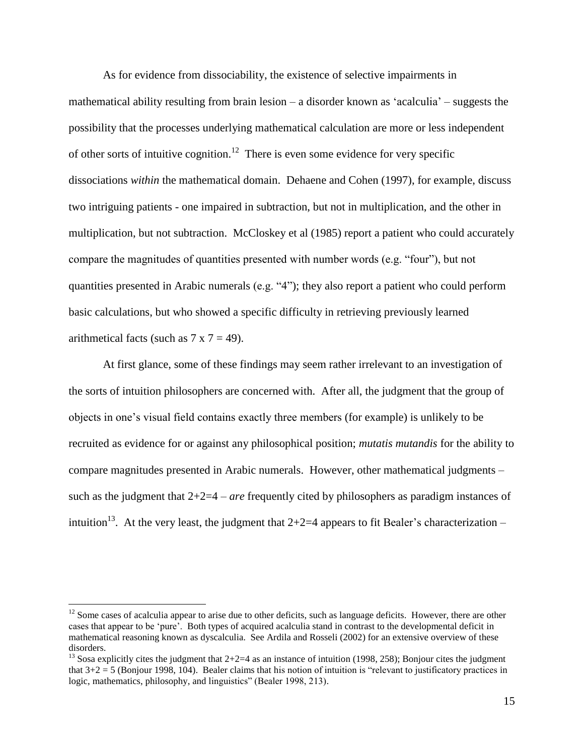As for evidence from dissociability, the existence of selective impairments in mathematical ability resulting from brain lesion – a disorder known as 'acalculia' – suggests the possibility that the processes underlying mathematical calculation are more or less independent of other sorts of intuitive cognition.<sup>12</sup> There is even some evidence for very specific dissociations *within* the mathematical domain. Dehaene and Cohen (1997), for example, discuss two intriguing patients - one impaired in subtraction, but not in multiplication, and the other in multiplication, but not subtraction. McCloskey et al (1985) report a patient who could accurately compare the magnitudes of quantities presented with number words (e.g. "four"), but not quantities presented in Arabic numerals (e.g. "4"); they also report a patient who could perform basic calculations, but who showed a specific difficulty in retrieving previously learned arithmetical facts (such as  $7 \times 7 = 49$ ).

At first glance, some of these findings may seem rather irrelevant to an investigation of the sorts of intuition philosophers are concerned with. After all, the judgment that the group of objects in one's visual field contains exactly three members (for example) is unlikely to be recruited as evidence for or against any philosophical position; *mutatis mutandis* for the ability to compare magnitudes presented in Arabic numerals. However, other mathematical judgments – such as the judgment that 2+2=4 – *are* frequently cited by philosophers as paradigm instances of intuition<sup>13</sup>. At the very least, the judgment that  $2+2=4$  appears to fit Bealer's characterization –

 $12$  Some cases of acalculia appear to arise due to other deficits, such as language deficits. However, there are other cases that appear to be 'pure'. Both types of acquired acalculia stand in contrast to the developmental deficit in mathematical reasoning known as dyscalculia. See Ardila and Rosseli (2002) for an extensive overview of these disorders.

<sup>&</sup>lt;sup>13</sup> Sosa explicitly cites the judgment that  $2+2=4$  as an instance of intuition (1998, 258); Bonjour cites the judgment that 3+2 = 5 (Bonjour 1998, 104). Bealer claims that his notion of intuition is "relevant to justificatory practices in logic, mathematics, philosophy, and linguistics" (Bealer 1998, 213).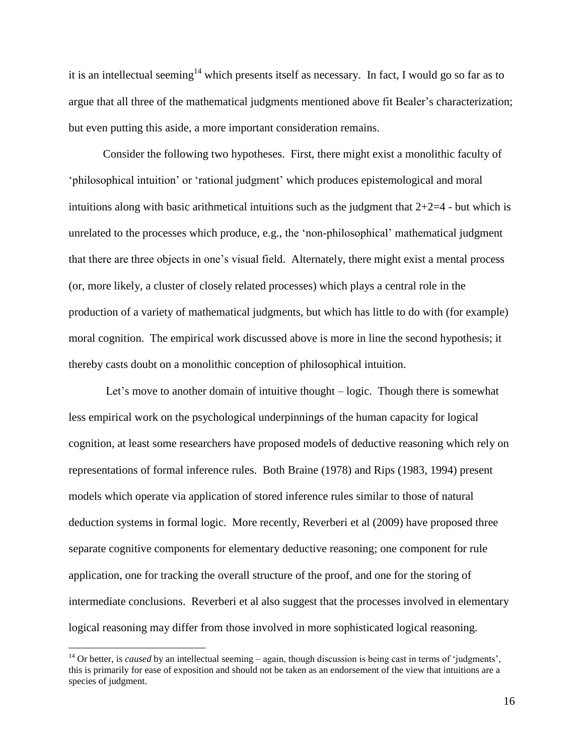it is an intellectual seeming<sup>14</sup> which presents itself as necessary. In fact, I would go so far as to argue that all three of the mathematical judgments mentioned above fit Bealer's characterization; but even putting this aside, a more important consideration remains.

Consider the following two hypotheses. First, there might exist a monolithic faculty of 'philosophical intuition' or 'rational judgment' which produces epistemological and moral intuitions along with basic arithmetical intuitions such as the judgment that  $2+2=4$  - but which is unrelated to the processes which produce, e.g., the 'non-philosophical' mathematical judgment that there are three objects in one's visual field. Alternately, there might exist a mental process (or, more likely, a cluster of closely related processes) which plays a central role in the production of a variety of mathematical judgments, but which has little to do with (for example) moral cognition. The empirical work discussed above is more in line the second hypothesis; it thereby casts doubt on a monolithic conception of philosophical intuition.

Let's move to another domain of intuitive thought – logic. Though there is somewhat less empirical work on the psychological underpinnings of the human capacity for logical cognition, at least some researchers have proposed models of deductive reasoning which rely on representations of formal inference rules. Both Braine (1978) and Rips (1983, 1994) present models which operate via application of stored inference rules similar to those of natural deduction systems in formal logic. More recently, Reverberi et al (2009) have proposed three separate cognitive components for elementary deductive reasoning; one component for rule application, one for tracking the overall structure of the proof, and one for the storing of intermediate conclusions. Reverberi et al also suggest that the processes involved in elementary logical reasoning may differ from those involved in more sophisticated logical reasoning.

<sup>&</sup>lt;sup>14</sup> Or better, is *caused* by an intellectual seeming – again, though discussion is being cast in terms of 'judgments', this is primarily for ease of exposition and should not be taken as an endorsement of the view that intuitions are a species of judgment.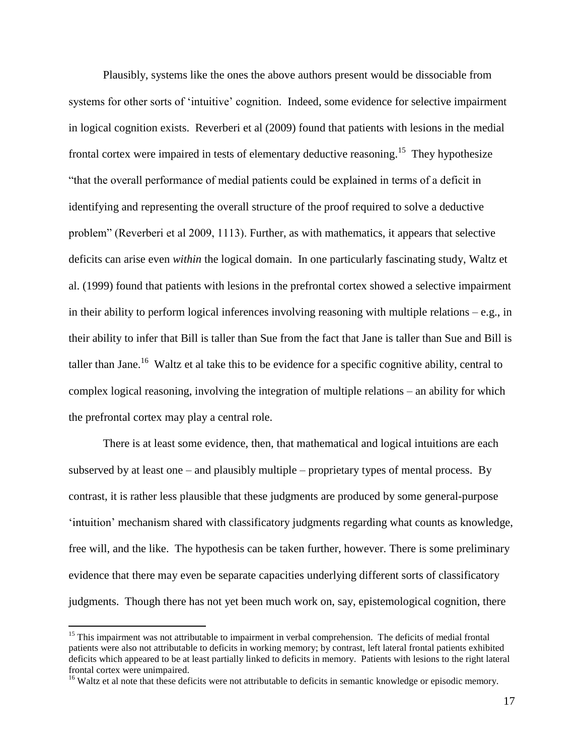Plausibly, systems like the ones the above authors present would be dissociable from systems for other sorts of 'intuitive' cognition. Indeed, some evidence for selective impairment in logical cognition exists. Reverberi et al (2009) found that patients with lesions in the medial frontal cortex were impaired in tests of elementary deductive reasoning.<sup>15</sup> They hypothesize "that the overall performance of medial patients could be explained in terms of a deficit in identifying and representing the overall structure of the proof required to solve a deductive problem" (Reverberi et al 2009, 1113). Further, as with mathematics, it appears that selective deficits can arise even *within* the logical domain. In one particularly fascinating study, Waltz et al. (1999) found that patients with lesions in the prefrontal cortex showed a selective impairment in their ability to perform logical inferences involving reasoning with multiple relations  $-e.g.,$  in their ability to infer that Bill is taller than Sue from the fact that Jane is taller than Sue and Bill is taller than Jane.<sup>16</sup> Waltz et al take this to be evidence for a specific cognitive ability, central to complex logical reasoning, involving the integration of multiple relations – an ability for which the prefrontal cortex may play a central role.

There is at least some evidence, then, that mathematical and logical intuitions are each subserved by at least one – and plausibly multiple – proprietary types of mental process. By contrast, it is rather less plausible that these judgments are produced by some general-purpose 'intuition' mechanism shared with classificatory judgments regarding what counts as knowledge, free will, and the like. The hypothesis can be taken further, however. There is some preliminary evidence that there may even be separate capacities underlying different sorts of classificatory judgments. Though there has not yet been much work on, say, epistemological cognition, there

<sup>&</sup>lt;sup>15</sup> This impairment was not attributable to impairment in verbal comprehension. The deficits of medial frontal patients were also not attributable to deficits in working memory; by contrast, left lateral frontal patients exhibited deficits which appeared to be at least partially linked to deficits in memory. Patients with lesions to the right lateral frontal cortex were unimpaired.

<sup>&</sup>lt;sup>16</sup> Waltz et al note that these deficits were not attributable to deficits in semantic knowledge or episodic memory.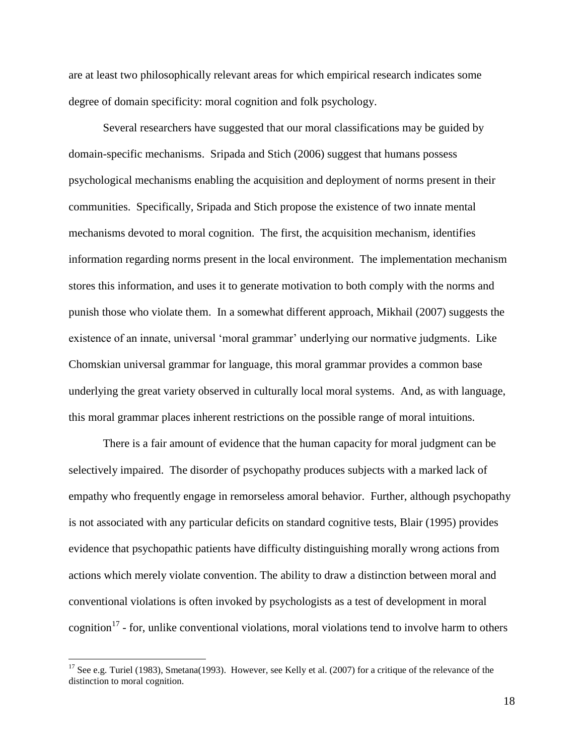are at least two philosophically relevant areas for which empirical research indicates some degree of domain specificity: moral cognition and folk psychology.

Several researchers have suggested that our moral classifications may be guided by domain-specific mechanisms. Sripada and Stich (2006) suggest that humans possess psychological mechanisms enabling the acquisition and deployment of norms present in their communities. Specifically, Sripada and Stich propose the existence of two innate mental mechanisms devoted to moral cognition. The first, the acquisition mechanism, identifies information regarding norms present in the local environment. The implementation mechanism stores this information, and uses it to generate motivation to both comply with the norms and punish those who violate them. In a somewhat different approach, Mikhail (2007) suggests the existence of an innate, universal 'moral grammar' underlying our normative judgments. Like Chomskian universal grammar for language, this moral grammar provides a common base underlying the great variety observed in culturally local moral systems. And, as with language, this moral grammar places inherent restrictions on the possible range of moral intuitions.

There is a fair amount of evidence that the human capacity for moral judgment can be selectively impaired. The disorder of psychopathy produces subjects with a marked lack of empathy who frequently engage in remorseless amoral behavior. Further, although psychopathy is not associated with any particular deficits on standard cognitive tests, Blair (1995) provides evidence that psychopathic patients have difficulty distinguishing morally wrong actions from actions which merely violate convention. The ability to draw a distinction between moral and conventional violations is often invoked by psychologists as a test of development in moral cognition<sup>17</sup> - for, unlike conventional violations, moral violations tend to involve harm to others

<sup>&</sup>lt;sup>17</sup> See e.g. Turiel (1983), Smetana(1993). However, see Kelly et al. (2007) for a critique of the relevance of the distinction to moral cognition.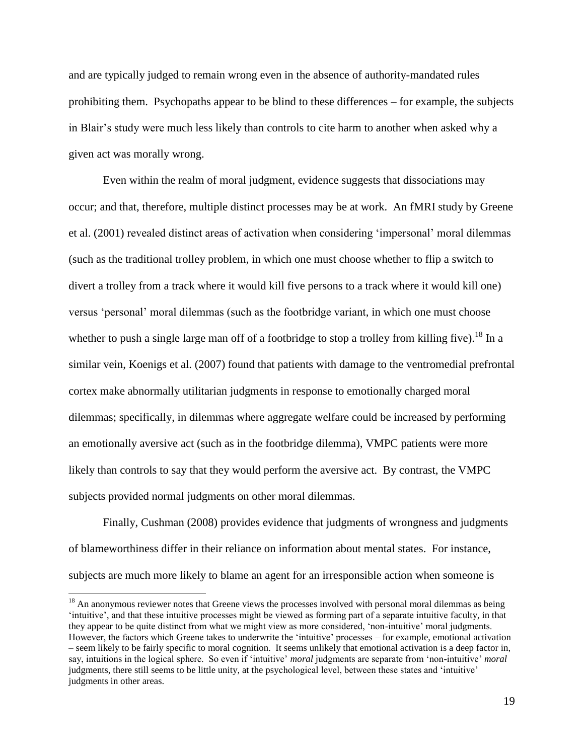and are typically judged to remain wrong even in the absence of authority-mandated rules prohibiting them. Psychopaths appear to be blind to these differences – for example, the subjects in Blair's study were much less likely than controls to cite harm to another when asked why a given act was morally wrong.

Even within the realm of moral judgment, evidence suggests that dissociations may occur; and that, therefore, multiple distinct processes may be at work. An fMRI study by Greene et al. (2001) revealed distinct areas of activation when considering 'impersonal' moral dilemmas (such as the traditional trolley problem, in which one must choose whether to flip a switch to divert a trolley from a track where it would kill five persons to a track where it would kill one) versus 'personal' moral dilemmas (such as the footbridge variant, in which one must choose whether to push a single large man off of a footbridge to stop a trolley from killing five).<sup>18</sup> In a similar vein, Koenigs et al. (2007) found that patients with damage to the ventromedial prefrontal cortex make abnormally utilitarian judgments in response to emotionally charged moral dilemmas; specifically, in dilemmas where aggregate welfare could be increased by performing an emotionally aversive act (such as in the footbridge dilemma), VMPC patients were more likely than controls to say that they would perform the aversive act. By contrast, the VMPC subjects provided normal judgments on other moral dilemmas.

Finally, Cushman (2008) provides evidence that judgments of wrongness and judgments of blameworthiness differ in their reliance on information about mental states. For instance, subjects are much more likely to blame an agent for an irresponsible action when someone is

<sup>&</sup>lt;sup>18</sup> An anonymous reviewer notes that Greene views the processes involved with personal moral dilemmas as being 'intuitive', and that these intuitive processes might be viewed as forming part of a separate intuitive faculty, in that they appear to be quite distinct from what we might view as more considered, 'non-intuitive' moral judgments. However, the factors which Greene takes to underwrite the 'intuitive' processes – for example, emotional activation – seem likely to be fairly specific to moral cognition. It seems unlikely that emotional activation is a deep factor in, say, intuitions in the logical sphere. So even if 'intuitive' *moral* judgments are separate from 'non-intuitive' *moral* judgments, there still seems to be little unity, at the psychological level, between these states and 'intuitive' judgments in other areas.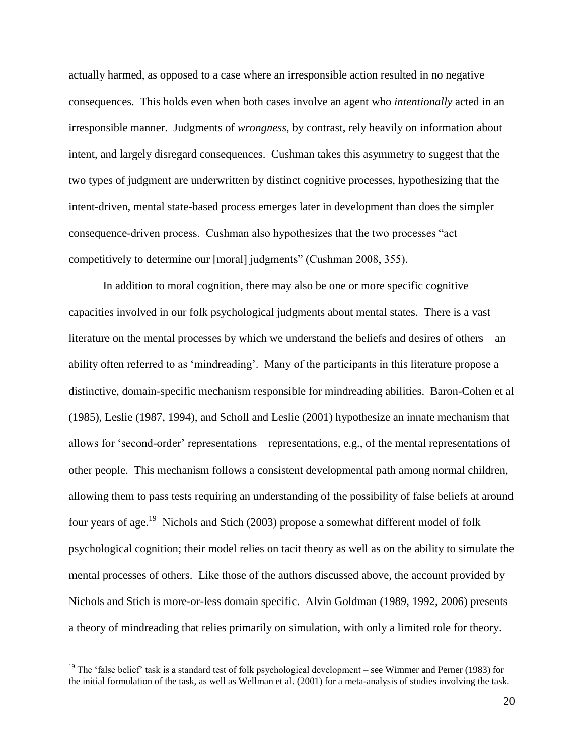actually harmed, as opposed to a case where an irresponsible action resulted in no negative consequences. This holds even when both cases involve an agent who *intentionally* acted in an irresponsible manner. Judgments of *wrongness*, by contrast, rely heavily on information about intent, and largely disregard consequences. Cushman takes this asymmetry to suggest that the two types of judgment are underwritten by distinct cognitive processes, hypothesizing that the intent-driven, mental state-based process emerges later in development than does the simpler consequence-driven process. Cushman also hypothesizes that the two processes "act competitively to determine our [moral] judgments" (Cushman 2008, 355).

In addition to moral cognition, there may also be one or more specific cognitive capacities involved in our folk psychological judgments about mental states. There is a vast literature on the mental processes by which we understand the beliefs and desires of others – an ability often referred to as 'mindreading'. Many of the participants in this literature propose a distinctive, domain-specific mechanism responsible for mindreading abilities. Baron-Cohen et al (1985), Leslie (1987, 1994), and Scholl and Leslie (2001) hypothesize an innate mechanism that allows for 'second-order' representations – representations, e.g., of the mental representations of other people. This mechanism follows a consistent developmental path among normal children, allowing them to pass tests requiring an understanding of the possibility of false beliefs at around four years of age.<sup>19</sup> Nichols and Stich (2003) propose a somewhat different model of folk psychological cognition; their model relies on tacit theory as well as on the ability to simulate the mental processes of others. Like those of the authors discussed above, the account provided by Nichols and Stich is more-or-less domain specific. Alvin Goldman (1989, 1992, 2006) presents a theory of mindreading that relies primarily on simulation, with only a limited role for theory.

<sup>&</sup>lt;sup>19</sup> The 'false belief' task is a standard test of folk psychological development – see Wimmer and Perner (1983) for the initial formulation of the task, as well as Wellman et al. (2001) for a meta-analysis of studies involving the task.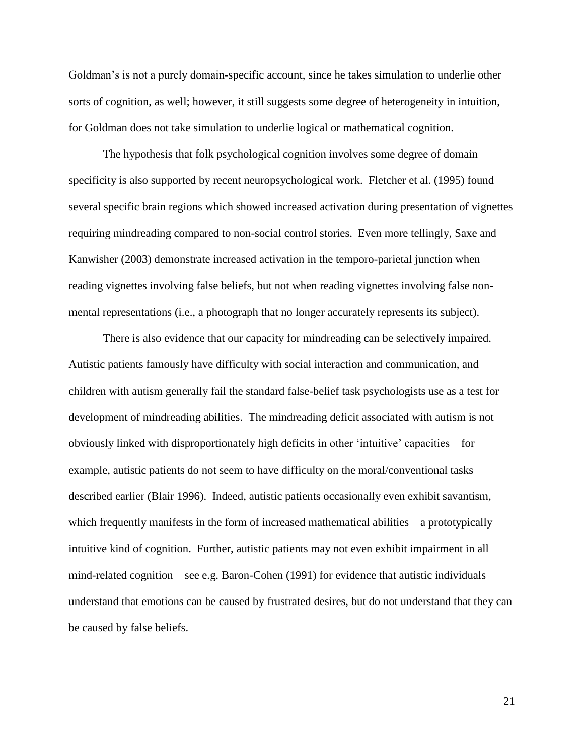Goldman's is not a purely domain-specific account, since he takes simulation to underlie other sorts of cognition, as well; however, it still suggests some degree of heterogeneity in intuition, for Goldman does not take simulation to underlie logical or mathematical cognition.

The hypothesis that folk psychological cognition involves some degree of domain specificity is also supported by recent neuropsychological work. Fletcher et al. (1995) found several specific brain regions which showed increased activation during presentation of vignettes requiring mindreading compared to non-social control stories. Even more tellingly, Saxe and Kanwisher (2003) demonstrate increased activation in the temporo-parietal junction when reading vignettes involving false beliefs, but not when reading vignettes involving false nonmental representations (i.e., a photograph that no longer accurately represents its subject).

There is also evidence that our capacity for mindreading can be selectively impaired. Autistic patients famously have difficulty with social interaction and communication, and children with autism generally fail the standard false-belief task psychologists use as a test for development of mindreading abilities. The mindreading deficit associated with autism is not obviously linked with disproportionately high deficits in other 'intuitive' capacities – for example, autistic patients do not seem to have difficulty on the moral/conventional tasks described earlier (Blair 1996). Indeed, autistic patients occasionally even exhibit savantism, which frequently manifests in the form of increased mathematical abilities – a prototypically intuitive kind of cognition. Further, autistic patients may not even exhibit impairment in all mind-related cognition – see e.g. Baron-Cohen (1991) for evidence that autistic individuals understand that emotions can be caused by frustrated desires, but do not understand that they can be caused by false beliefs.

21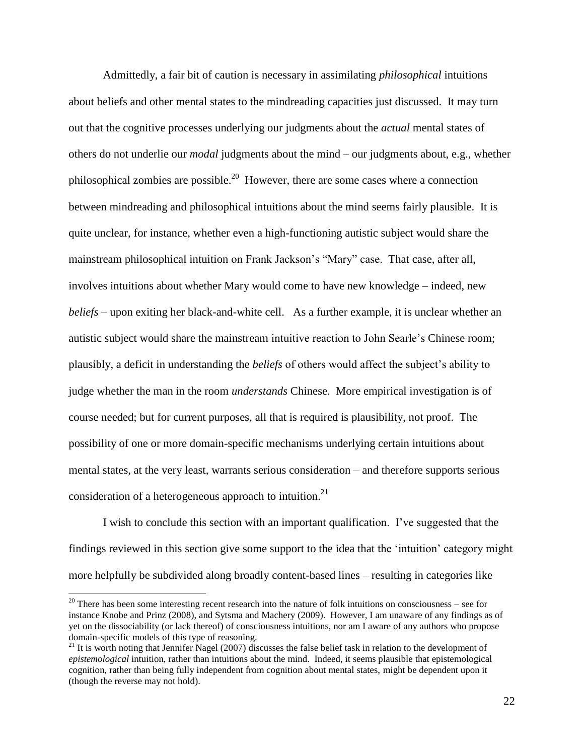Admittedly, a fair bit of caution is necessary in assimilating *philosophical* intuitions about beliefs and other mental states to the mindreading capacities just discussed. It may turn out that the cognitive processes underlying our judgments about the *actual* mental states of others do not underlie our *modal* judgments about the mind – our judgments about, e.g., whether philosophical zombies are possible.<sup>20</sup> However, there are some cases where a connection between mindreading and philosophical intuitions about the mind seems fairly plausible. It is quite unclear, for instance, whether even a high-functioning autistic subject would share the mainstream philosophical intuition on Frank Jackson's "Mary" case. That case, after all, involves intuitions about whether Mary would come to have new knowledge – indeed, new *beliefs* – upon exiting her black-and-white cell. As a further example, it is unclear whether an autistic subject would share the mainstream intuitive reaction to John Searle's Chinese room; plausibly, a deficit in understanding the *beliefs* of others would affect the subject's ability to judge whether the man in the room *understands* Chinese. More empirical investigation is of course needed; but for current purposes, all that is required is plausibility, not proof. The possibility of one or more domain-specific mechanisms underlying certain intuitions about mental states, at the very least, warrants serious consideration – and therefore supports serious consideration of a heterogeneous approach to intuition.<sup>21</sup>

I wish to conclude this section with an important qualification. I've suggested that the findings reviewed in this section give some support to the idea that the 'intuition' category might more helpfully be subdivided along broadly content-based lines – resulting in categories like

 $20$  There has been some interesting recent research into the nature of folk intuitions on consciousness – see for instance Knobe and Prinz (2008), and Sytsma and Machery (2009). However, I am unaware of any findings as of yet on the dissociability (or lack thereof) of consciousness intuitions, nor am I aware of any authors who propose domain-specific models of this type of reasoning.

<sup>&</sup>lt;sup>21</sup> It is worth noting that Jennifer Nagel (2007) discusses the false belief task in relation to the development of *epistemological* intuition, rather than intuitions about the mind. Indeed, it seems plausible that epistemological cognition, rather than being fully independent from cognition about mental states, might be dependent upon it (though the reverse may not hold).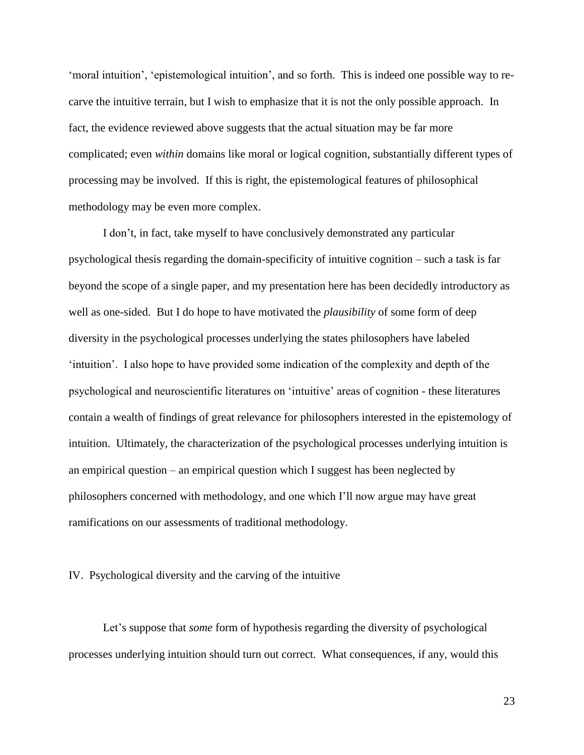'moral intuition', 'epistemological intuition', and so forth. This is indeed one possible way to recarve the intuitive terrain, but I wish to emphasize that it is not the only possible approach. In fact, the evidence reviewed above suggests that the actual situation may be far more complicated; even *within* domains like moral or logical cognition, substantially different types of processing may be involved. If this is right, the epistemological features of philosophical methodology may be even more complex.

I don't, in fact, take myself to have conclusively demonstrated any particular psychological thesis regarding the domain-specificity of intuitive cognition – such a task is far beyond the scope of a single paper, and my presentation here has been decidedly introductory as well as one-sided. But I do hope to have motivated the *plausibility* of some form of deep diversity in the psychological processes underlying the states philosophers have labeled 'intuition'. I also hope to have provided some indication of the complexity and depth of the psychological and neuroscientific literatures on 'intuitive' areas of cognition - these literatures contain a wealth of findings of great relevance for philosophers interested in the epistemology of intuition. Ultimately, the characterization of the psychological processes underlying intuition is an empirical question – an empirical question which I suggest has been neglected by philosophers concerned with methodology, and one which I'll now argue may have great ramifications on our assessments of traditional methodology.

#### IV. Psychological diversity and the carving of the intuitive

Let's suppose that *some* form of hypothesis regarding the diversity of psychological processes underlying intuition should turn out correct. What consequences, if any, would this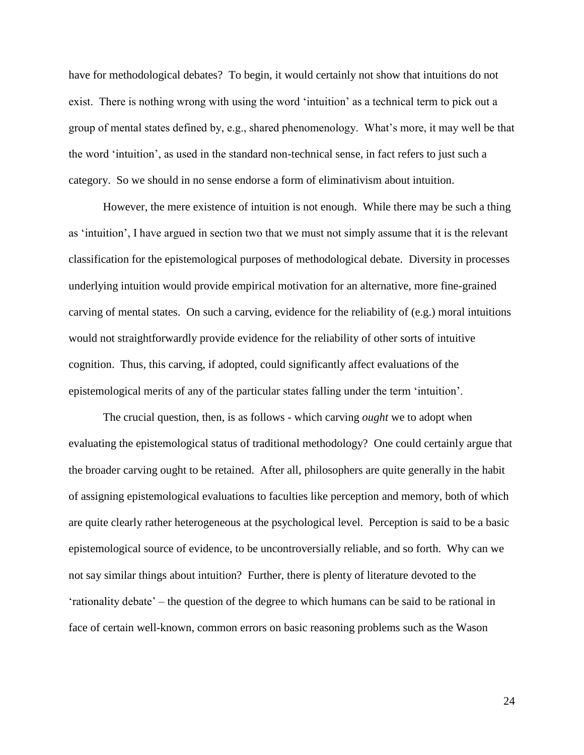have for methodological debates? To begin, it would certainly not show that intuitions do not exist. There is nothing wrong with using the word 'intuition' as a technical term to pick out a group of mental states defined by, e.g., shared phenomenology. What's more, it may well be that the word 'intuition', as used in the standard non-technical sense, in fact refers to just such a category. So we should in no sense endorse a form of eliminativism about intuition.

However, the mere existence of intuition is not enough. While there may be such a thing as 'intuition', I have argued in section two that we must not simply assume that it is the relevant classification for the epistemological purposes of methodological debate. Diversity in processes underlying intuition would provide empirical motivation for an alternative, more fine-grained carving of mental states. On such a carving, evidence for the reliability of (e.g.) moral intuitions would not straightforwardly provide evidence for the reliability of other sorts of intuitive cognition. Thus, this carving, if adopted, could significantly affect evaluations of the epistemological merits of any of the particular states falling under the term 'intuition'.

The crucial question, then, is as follows - which carving *ought* we to adopt when evaluating the epistemological status of traditional methodology? One could certainly argue that the broader carving ought to be retained. After all, philosophers are quite generally in the habit of assigning epistemological evaluations to faculties like perception and memory, both of which are quite clearly rather heterogeneous at the psychological level. Perception is said to be a basic epistemological source of evidence, to be uncontroversially reliable, and so forth. Why can we not say similar things about intuition? Further, there is plenty of literature devoted to the 'rationality debate' – the question of the degree to which humans can be said to be rational in face of certain well-known, common errors on basic reasoning problems such as the Wason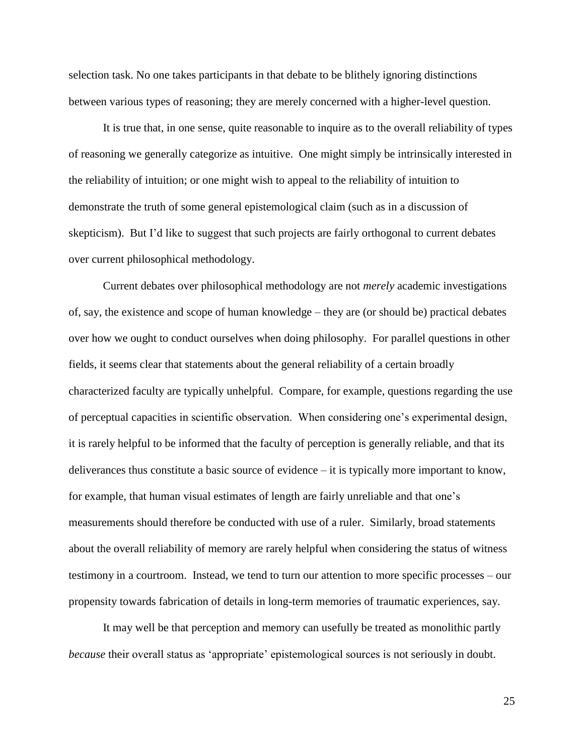selection task. No one takes participants in that debate to be blithely ignoring distinctions between various types of reasoning; they are merely concerned with a higher-level question.

It is true that, in one sense, quite reasonable to inquire as to the overall reliability of types of reasoning we generally categorize as intuitive. One might simply be intrinsically interested in the reliability of intuition; or one might wish to appeal to the reliability of intuition to demonstrate the truth of some general epistemological claim (such as in a discussion of skepticism). But I'd like to suggest that such projects are fairly orthogonal to current debates over current philosophical methodology.

Current debates over philosophical methodology are not *merely* academic investigations of, say, the existence and scope of human knowledge – they are (or should be) practical debates over how we ought to conduct ourselves when doing philosophy. For parallel questions in other fields, it seems clear that statements about the general reliability of a certain broadly characterized faculty are typically unhelpful. Compare, for example, questions regarding the use of perceptual capacities in scientific observation. When considering one's experimental design, it is rarely helpful to be informed that the faculty of perception is generally reliable, and that its deliverances thus constitute a basic source of evidence – it is typically more important to know, for example, that human visual estimates of length are fairly unreliable and that one's measurements should therefore be conducted with use of a ruler. Similarly, broad statements about the overall reliability of memory are rarely helpful when considering the status of witness testimony in a courtroom. Instead, we tend to turn our attention to more specific processes – our propensity towards fabrication of details in long-term memories of traumatic experiences, say.

It may well be that perception and memory can usefully be treated as monolithic partly *because* their overall status as 'appropriate' epistemological sources is not seriously in doubt.

25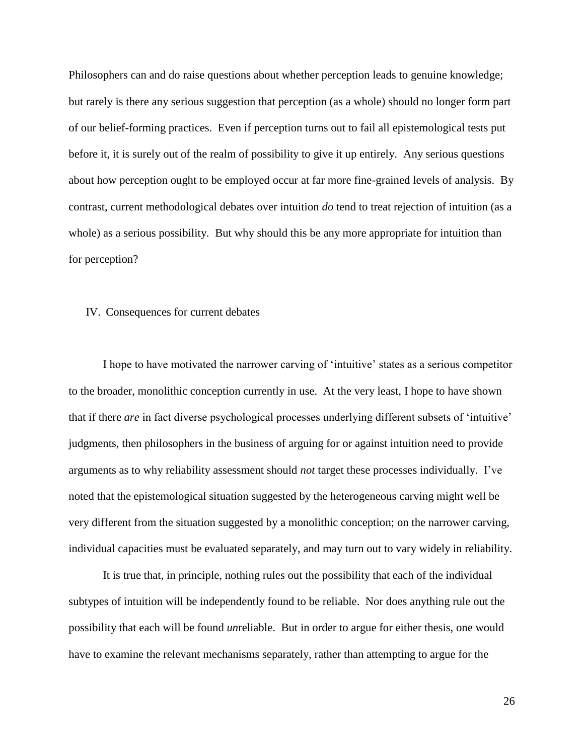Philosophers can and do raise questions about whether perception leads to genuine knowledge; but rarely is there any serious suggestion that perception (as a whole) should no longer form part of our belief-forming practices. Even if perception turns out to fail all epistemological tests put before it, it is surely out of the realm of possibility to give it up entirely. Any serious questions about how perception ought to be employed occur at far more fine-grained levels of analysis. By contrast, current methodological debates over intuition *do* tend to treat rejection of intuition (as a whole) as a serious possibility. But why should this be any more appropriate for intuition than for perception?

#### IV. Consequences for current debates

I hope to have motivated the narrower carving of 'intuitive' states as a serious competitor to the broader, monolithic conception currently in use. At the very least, I hope to have shown that if there *are* in fact diverse psychological processes underlying different subsets of 'intuitive' judgments, then philosophers in the business of arguing for or against intuition need to provide arguments as to why reliability assessment should *not* target these processes individually. I've noted that the epistemological situation suggested by the heterogeneous carving might well be very different from the situation suggested by a monolithic conception; on the narrower carving, individual capacities must be evaluated separately, and may turn out to vary widely in reliability.

It is true that, in principle, nothing rules out the possibility that each of the individual subtypes of intuition will be independently found to be reliable. Nor does anything rule out the possibility that each will be found *un*reliable. But in order to argue for either thesis, one would have to examine the relevant mechanisms separately, rather than attempting to argue for the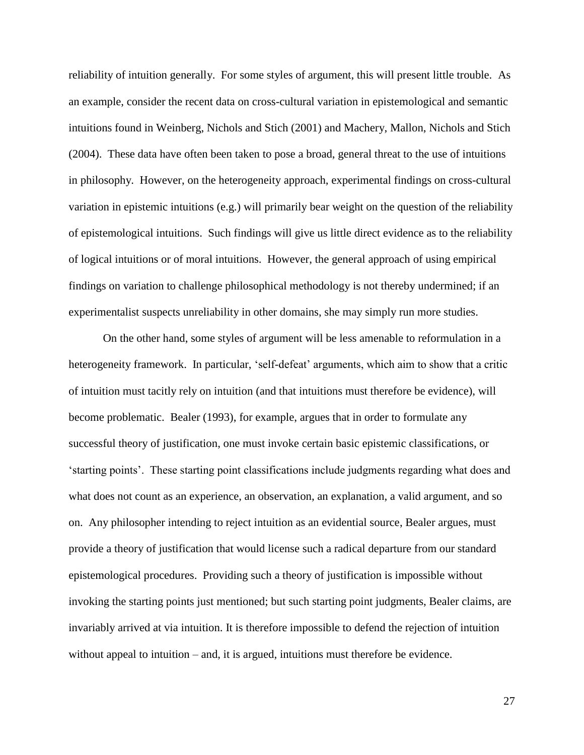reliability of intuition generally. For some styles of argument, this will present little trouble. As an example, consider the recent data on cross-cultural variation in epistemological and semantic intuitions found in Weinberg, Nichols and Stich (2001) and Machery, Mallon, Nichols and Stich (2004). These data have often been taken to pose a broad, general threat to the use of intuitions in philosophy. However, on the heterogeneity approach, experimental findings on cross-cultural variation in epistemic intuitions (e.g.) will primarily bear weight on the question of the reliability of epistemological intuitions. Such findings will give us little direct evidence as to the reliability of logical intuitions or of moral intuitions. However, the general approach of using empirical findings on variation to challenge philosophical methodology is not thereby undermined; if an experimentalist suspects unreliability in other domains, she may simply run more studies.

On the other hand, some styles of argument will be less amenable to reformulation in a heterogeneity framework. In particular, 'self-defeat' arguments, which aim to show that a critic of intuition must tacitly rely on intuition (and that intuitions must therefore be evidence), will become problematic. Bealer (1993), for example, argues that in order to formulate any successful theory of justification, one must invoke certain basic epistemic classifications, or 'starting points'. These starting point classifications include judgments regarding what does and what does not count as an experience, an observation, an explanation, a valid argument, and so on. Any philosopher intending to reject intuition as an evidential source, Bealer argues, must provide a theory of justification that would license such a radical departure from our standard epistemological procedures. Providing such a theory of justification is impossible without invoking the starting points just mentioned; but such starting point judgments, Bealer claims, are invariably arrived at via intuition. It is therefore impossible to defend the rejection of intuition without appeal to intuition – and, it is argued, intuitions must therefore be evidence.

27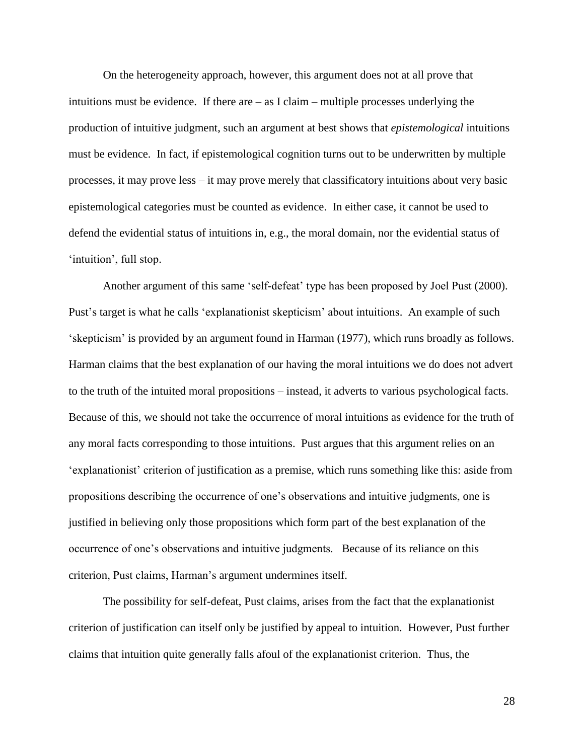On the heterogeneity approach, however, this argument does not at all prove that intuitions must be evidence. If there are – as I claim – multiple processes underlying the production of intuitive judgment, such an argument at best shows that *epistemological* intuitions must be evidence. In fact, if epistemological cognition turns out to be underwritten by multiple processes, it may prove less – it may prove merely that classificatory intuitions about very basic epistemological categories must be counted as evidence. In either case, it cannot be used to defend the evidential status of intuitions in, e.g., the moral domain, nor the evidential status of 'intuition', full stop.

Another argument of this same 'self-defeat' type has been proposed by Joel Pust (2000). Pust's target is what he calls 'explanationist skepticism' about intuitions. An example of such 'skepticism' is provided by an argument found in Harman (1977), which runs broadly as follows. Harman claims that the best explanation of our having the moral intuitions we do does not advert to the truth of the intuited moral propositions – instead, it adverts to various psychological facts. Because of this, we should not take the occurrence of moral intuitions as evidence for the truth of any moral facts corresponding to those intuitions. Pust argues that this argument relies on an 'explanationist' criterion of justification as a premise, which runs something like this: aside from propositions describing the occurrence of one's observations and intuitive judgments, one is justified in believing only those propositions which form part of the best explanation of the occurrence of one's observations and intuitive judgments. Because of its reliance on this criterion, Pust claims, Harman's argument undermines itself.

The possibility for self-defeat, Pust claims, arises from the fact that the explanationist criterion of justification can itself only be justified by appeal to intuition. However, Pust further claims that intuition quite generally falls afoul of the explanationist criterion. Thus, the

28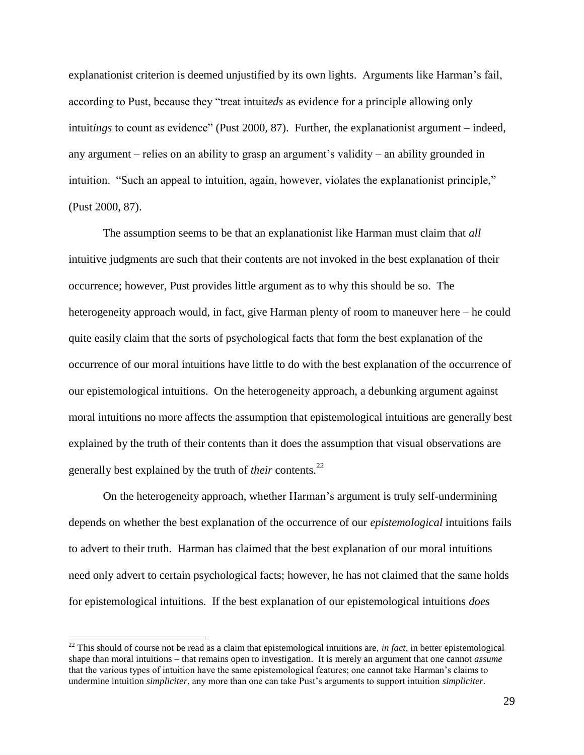explanationist criterion is deemed unjustified by its own lights. Arguments like Harman's fail, according to Pust, because they "treat intuit*eds* as evidence for a principle allowing only intuit*ings* to count as evidence" (Pust 2000, 87). Further, the explanationist argument – indeed, any argument – relies on an ability to grasp an argument's validity – an ability grounded in intuition. "Such an appeal to intuition, again, however, violates the explanationist principle," (Pust 2000, 87).

The assumption seems to be that an explanationist like Harman must claim that *all*  intuitive judgments are such that their contents are not invoked in the best explanation of their occurrence; however, Pust provides little argument as to why this should be so. The heterogeneity approach would, in fact, give Harman plenty of room to maneuver here – he could quite easily claim that the sorts of psychological facts that form the best explanation of the occurrence of our moral intuitions have little to do with the best explanation of the occurrence of our epistemological intuitions. On the heterogeneity approach, a debunking argument against moral intuitions no more affects the assumption that epistemological intuitions are generally best explained by the truth of their contents than it does the assumption that visual observations are generally best explained by the truth of *their* contents.<sup>22</sup>

On the heterogeneity approach, whether Harman's argument is truly self-undermining depends on whether the best explanation of the occurrence of our *epistemological* intuitions fails to advert to their truth. Harman has claimed that the best explanation of our moral intuitions need only advert to certain psychological facts; however, he has not claimed that the same holds for epistemological intuitions. If the best explanation of our epistemological intuitions *does*

<sup>&</sup>lt;sup>22</sup> This should of course not be read as a claim that epistemological intuitions are, *in fact*, in better epistemological shape than moral intuitions – that remains open to investigation. It is merely an argument that one cannot *assume* that the various types of intuition have the same epistemological features; one cannot take Harman's claims to undermine intuition *simpliciter*, any more than one can take Pust's arguments to support intuition *simpliciter*.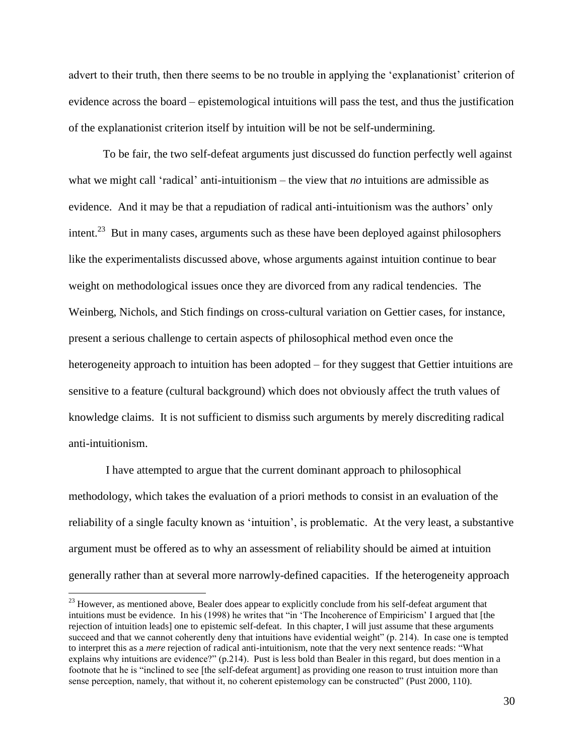advert to their truth, then there seems to be no trouble in applying the 'explanationist' criterion of evidence across the board – epistemological intuitions will pass the test, and thus the justification of the explanationist criterion itself by intuition will be not be self-undermining.

To be fair, the two self-defeat arguments just discussed do function perfectly well against what we might call 'radical' anti-intuitionism – the view that *no* intuitions are admissible as evidence. And it may be that a repudiation of radical anti-intuitionism was the authors' only intent.<sup>23</sup> But in many cases, arguments such as these have been deployed against philosophers like the experimentalists discussed above, whose arguments against intuition continue to bear weight on methodological issues once they are divorced from any radical tendencies. The Weinberg, Nichols, and Stich findings on cross-cultural variation on Gettier cases, for instance, present a serious challenge to certain aspects of philosophical method even once the heterogeneity approach to intuition has been adopted – for they suggest that Gettier intuitions are sensitive to a feature (cultural background) which does not obviously affect the truth values of knowledge claims. It is not sufficient to dismiss such arguments by merely discrediting radical anti-intuitionism.

I have attempted to argue that the current dominant approach to philosophical methodology, which takes the evaluation of a priori methods to consist in an evaluation of the reliability of a single faculty known as 'intuition', is problematic. At the very least, a substantive argument must be offered as to why an assessment of reliability should be aimed at intuition generally rather than at several more narrowly-defined capacities. If the heterogeneity approach

<sup>&</sup>lt;sup>23</sup> However, as mentioned above, Bealer does appear to explicitly conclude from his self-defeat argument that intuitions must be evidence. In his (1998) he writes that "in 'The Incoherence of Empiricism' I argued that [the rejection of intuition leads] one to epistemic self-defeat. In this chapter, I will just assume that these arguments succeed and that we cannot coherently deny that intuitions have evidential weight" (p. 214). In case one is tempted to interpret this as a *mere* rejection of radical anti-intuitionism, note that the very next sentence reads: "What explains why intuitions are evidence?" (p.214). Pust is less bold than Bealer in this regard, but does mention in a footnote that he is "inclined to see [the self-defeat argument] as providing one reason to trust intuition more than sense perception, namely, that without it, no coherent epistemology can be constructed" (Pust 2000, 110).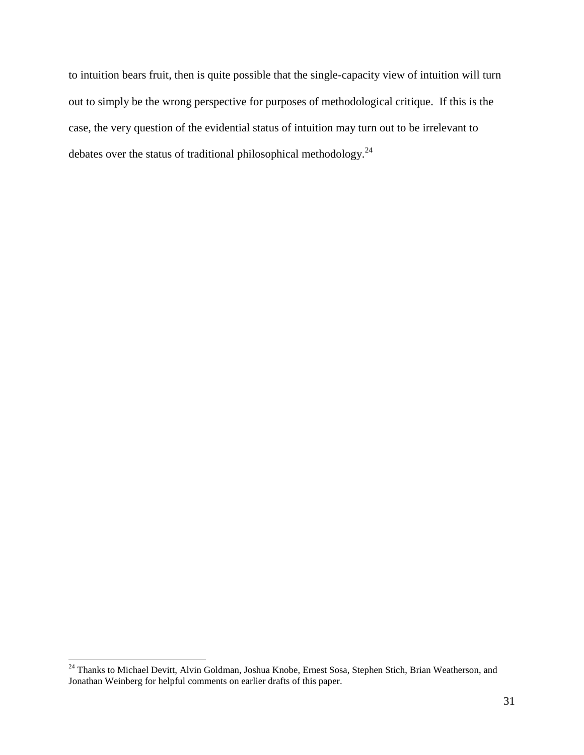to intuition bears fruit, then is quite possible that the single-capacity view of intuition will turn out to simply be the wrong perspective for purposes of methodological critique. If this is the case, the very question of the evidential status of intuition may turn out to be irrelevant to debates over the status of traditional philosophical methodology.<sup>24</sup>

<sup>&</sup>lt;sup>24</sup> Thanks to Michael Devitt, Alvin Goldman, Joshua Knobe, Ernest Sosa, Stephen Stich, Brian Weatherson, and Jonathan Weinberg for helpful comments on earlier drafts of this paper.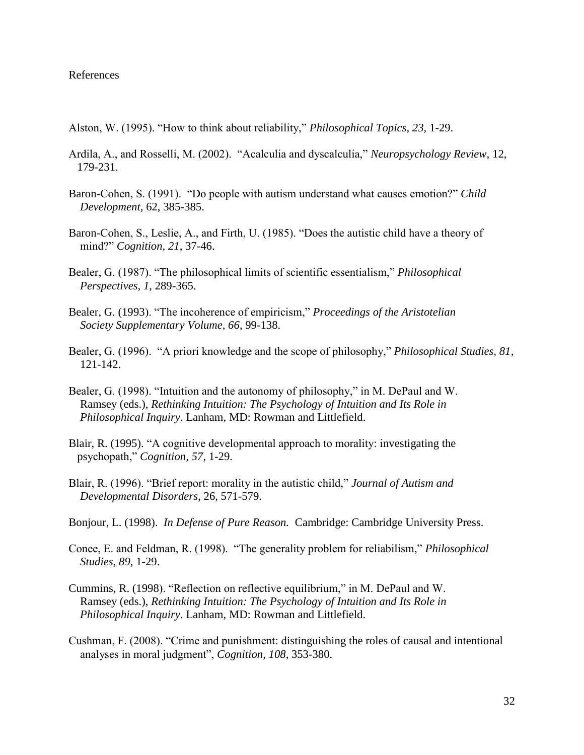#### References

- Alston, W. (1995). "How to think about reliability," *Philosophical Topics, 23,* 1-29.
- Ardila, A., and Rosselli, M. (2002). "Acalculia and dyscalculia," *Neuropsychology Review,* 12, 179-231.
- Baron-Cohen, S. (1991). "Do people with autism understand what causes emotion?" *Child Development*, 62, 385-385.
- Baron-Cohen, S., Leslie, A., and Firth, U. (1985). "Does the autistic child have a theory of mind?" *Cognition, 21*, 37-46.
- Bealer, G. (1987). "The philosophical limits of scientific essentialism," *Philosophical Perspectives, 1*, 289-365.
- Bealer, G. (1993). "The incoherence of empiricism," *Proceedings of the Aristotelian Society Supplementary Volume, 66*, 99-138.
- Bealer, G. (1996). "A priori knowledge and the scope of philosophy," *Philosophical Studies, 81*, 121-142.
- Bealer, G. (1998). "Intuition and the autonomy of philosophy," in M. DePaul and W. Ramsey (eds.), *Rethinking Intuition: The Psychology of Intuition and Its Role in Philosophical Inquiry*. Lanham, MD: Rowman and Littlefield.
- Blair, R. (1995). "A cognitive developmental approach to morality: investigating the psychopath," *Cognition, 57*, 1-29.
- Blair, R. (1996). "Brief report: morality in the autistic child," *Journal of Autism and Developmental Disorders*, 26, 571-579.
- Bonjour, L. (1998). *In Defense of Pure Reason.* Cambridge: Cambridge University Press.
- Conee, E. and Feldman, R. (1998). "The generality problem for reliabilism," *Philosophical Studies, 89*, 1-29.
- Cummins, R. (1998). "Reflection on reflective equilibrium," in M. DePaul and W. Ramsey (eds.), *Rethinking Intuition: The Psychology of Intuition and Its Role in Philosophical Inquiry*. Lanham, MD: Rowman and Littlefield.
- Cushman, F. (2008). "Crime and punishment: distinguishing the roles of causal and intentional analyses in moral judgment", *Cognition, 108*, 353-380.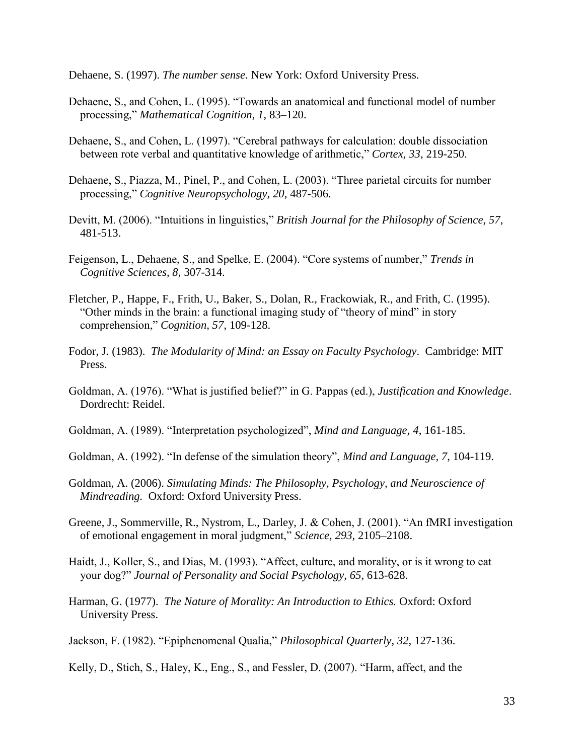Dehaene, S. (1997). *The number sense*. New York: Oxford University Press.

- Dehaene, S., and Cohen, L. (1995). "Towards an anatomical and functional model of number processing," *Mathematical Cognition, 1*, 83–120.
- Dehaene, S., and Cohen, L. (1997). "Cerebral pathways for calculation: double dissociation between rote verbal and quantitative knowledge of arithmetic," *Cortex, 33*, 219-250.
- Dehaene, S., Piazza, M., Pinel, P., and Cohen, L. (2003). "Three parietal circuits for number processing," *Cognitive Neuropsychology, 20*, 487-506.
- Devitt, M. (2006). "Intuitions in linguistics," *British Journal for the Philosophy of Science, 57*, 481-513.
- Feigenson, L., Dehaene, S., and Spelke, E. (2004). "Core systems of number," *Trends in Cognitive Sciences, 8,* 307-314.
- Fletcher, P., Happe, F., Frith, U., Baker, S., Dolan, R., Frackowiak, R., and Frith, C. (1995). "Other minds in the brain: a functional imaging study of "theory of mind" in story comprehension," *Cognition, 57*, 109-128.
- Fodor, J. (1983). *The Modularity of Mind: an Essay on Faculty Psychology*. Cambridge: MIT Press.
- Goldman, A. (1976). "What is justified belief?" in G. Pappas (ed.), *Justification and Knowledge*. Dordrecht: Reidel.
- Goldman, A. (1989). "Interpretation psychologized", *Mind and Language, 4*, 161-185.
- Goldman, A. (1992). "In defense of the simulation theory", *Mind and Language, 7*, 104-119.
- Goldman, A. (2006). *Simulating Minds: The Philosophy, Psychology, and Neuroscience of Mindreading.* Oxford: Oxford University Press.
- Greene, J., Sommerville, R., Nystrom, L., Darley, J. & Cohen, J. (2001). "An fMRI investigation of emotional engagement in moral judgment," *Science, 293,* 2105–2108.
- Haidt, J., Koller, S., and Dias, M. (1993). "Affect, culture, and morality, or is it wrong to eat your dog?" *Journal of Personality and Social Psychology, 65*, 613-628.
- Harman, G. (1977). *The Nature of Morality: An Introduction to Ethics.* Oxford: Oxford University Press.
- Jackson, F. (1982). "Epiphenomenal Qualia," *Philosophical Quarterly, 32,* 127-136.
- Kelly, D., Stich, S., Haley, K., Eng., S., and Fessler, D. (2007). "Harm, affect, and the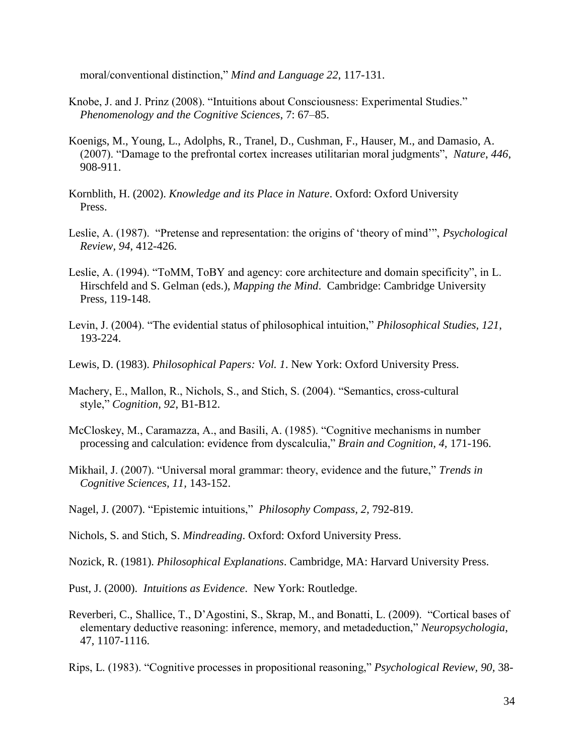moral/conventional distinction," *Mind and Language 22*, 117-131.

- Knobe, J. and J. Prinz (2008). "Intuitions about Consciousness: Experimental Studies." *Phenomenology and the Cognitive Sciences*, 7: 67–85.
- Koenigs, M., Young, L., Adolphs, R., Tranel, D., Cushman, F., Hauser, M., and Damasio, A. (2007). "Damage to the prefrontal cortex increases utilitarian moral judgments", *Nature*, *446*, 908-911.
- Kornblith, H. (2002). *Knowledge and its Place in Nature*. Oxford: Oxford University Press.
- Leslie, A. (1987). "Pretense and representation: the origins of 'theory of mind'", *Psychological Review, 94*, 412-426.
- Leslie, A. (1994). "ToMM, ToBY and agency: core architecture and domain specificity", in L. Hirschfeld and S. Gelman (eds.), *Mapping the Mind*. Cambridge: Cambridge University Press, 119-148.
- Levin, J. (2004). "The evidential status of philosophical intuition," *Philosophical Studies, 121*, 193-224.
- Lewis, D. (1983). *Philosophical Papers: Vol. 1*. New York: Oxford University Press.
- Machery, E., Mallon, R., Nichols, S., and Stich, S. (2004). "Semantics, cross-cultural style," *Cognition, 92*, B1-B12.
- McCloskey, M., Caramazza, A., and Basili, A. (1985). "Cognitive mechanisms in number processing and calculation: evidence from dyscalculia," *Brain and Cognition, 4,* 171-196.
- Mikhail, J. (2007). "Universal moral grammar: theory, evidence and the future," *Trends in Cognitive Sciences, 11,* 143-152.
- Nagel, J. (2007). "Epistemic intuitions," *Philosophy Compass, 2,* 792-819.
- Nichols, S. and Stich, S. *Mindreading*. Oxford: Oxford University Press.
- Nozick, R. (1981). *Philosophical Explanations*. Cambridge, MA: Harvard University Press.
- Pust, J. (2000). *Intuitions as Evidence*. New York: Routledge.
- Reverberi, C., Shallice, T., D'Agostini, S., Skrap, M., and Bonatti, L. (2009). "Cortical bases of elementary deductive reasoning: inference, memory, and metadeduction," *Neuropsychologia*, 47, 1107-1116.

Rips, L. (1983). "Cognitive processes in propositional reasoning," *Psychological Review, 90,* 38-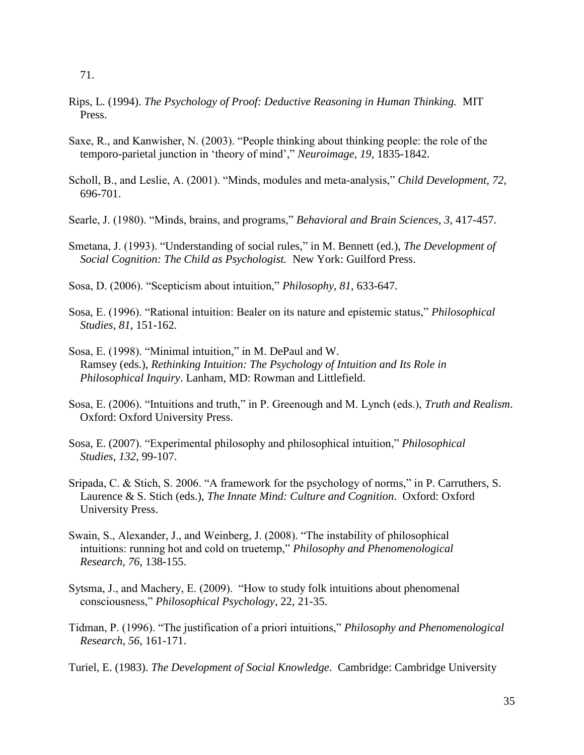- Rips, L. (1994). *The Psychology of Proof: Deductive Reasoning in Human Thinking.* MIT Press.
- Saxe, R., and Kanwisher, N. (2003). "People thinking about thinking people: the role of the temporo-parietal junction in 'theory of mind'," *Neuroimage, 19,* 1835-1842.
- Scholl, B., and Leslie, A. (2001). "Minds, modules and meta-analysis," *Child Development, 72*, 696-701.
- Searle, J. (1980). "Minds, brains, and programs," *Behavioral and Brain Sciences, 3*, 417-457.
- Smetana, J. (1993). "Understanding of social rules," in M. Bennett (ed.), *The Development of Social Cognition: The Child as Psychologist.* New York: Guilford Press.
- Sosa, D. (2006). "Scepticism about intuition," *Philosophy*, *81*, 633-647.
- Sosa, E. (1996). "Rational intuition: Bealer on its nature and epistemic status," *Philosophical Studies, 81*, 151-162.
- Sosa, E. (1998). "Minimal intuition," in M. DePaul and W. Ramsey (eds.), *Rethinking Intuition: The Psychology of Intuition and Its Role in Philosophical Inquiry*. Lanham, MD: Rowman and Littlefield.
- Sosa, E. (2006). "Intuitions and truth," in P. Greenough and M. Lynch (eds.), *Truth and Realism*. Oxford: Oxford University Press.
- Sosa, E. (2007). "Experimental philosophy and philosophical intuition," *Philosophical Studies, 132*, 99-107.
- Sripada, C. & Stich, S. 2006. "A framework for the psychology of norms," in P. Carruthers, S. Laurence & S. Stich (eds.), *The Innate Mind: Culture and Cognition*. Oxford: Oxford University Press.
- Swain, S., Alexander, J., and Weinberg, J. (2008). "The instability of philosophical intuitions: running hot and cold on truetemp," *Philosophy and Phenomenological Research*, *76*, 138-155.
- Sytsma, J., and Machery, E. (2009). "How to study folk intuitions about phenomenal consciousness," *Philosophical Psychology*, 22, 21-35.
- Tidman, P. (1996). "The justification of a priori intuitions," *Philosophy and Phenomenological Research, 56*, 161-171.
- Turiel, E. (1983). *The Development of Social Knowledge*. Cambridge: Cambridge University

 <sup>71.</sup>